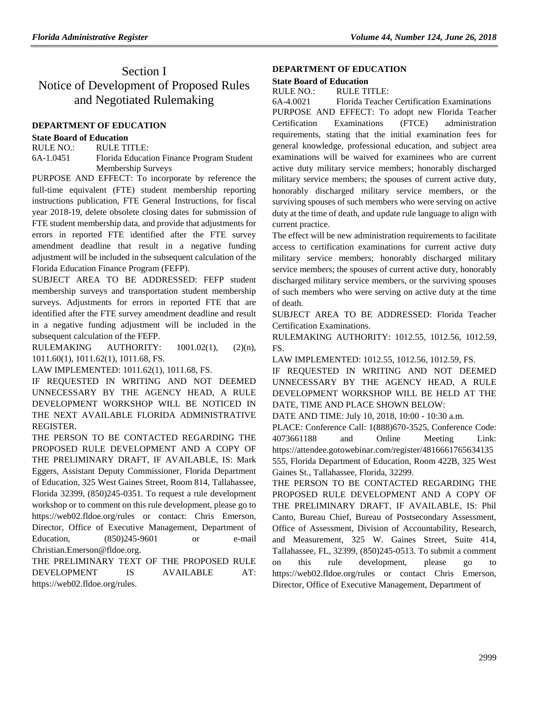# Section I Notice of Development of Proposed Rules and Negotiated Rulemaking

### **[DEPARTMENT OF EDUCATION](https://www.flrules.org/gateway/department.asp?id=6)**

#### **[State Board of Education](https://www.flrules.org/gateway/organization.asp?id=195)**

RULE NO.: RULE TITLE: [6A-1.0451](https://www.flrules.org/gateway/ruleNo.asp?id=6A-1.0451) Florida Education Finance Program Student Membership Surveys

PURPOSE AND EFFECT: To incorporate by reference the full-time equivalent (FTE) student membership reporting instructions publication, FTE General Instructions, for fiscal year 2018-19, delete obsolete closing dates for submission of FTE student membership data, and provide that adjustments for errors in reported FTE identified after the FTE survey amendment deadline that result in a negative funding adjustment will be included in the subsequent calculation of the Florida Education Finance Program (FEFP).

SUBJECT AREA TO BE ADDRESSED: FEFP student membership surveys and transportation student membership surveys. Adjustments for errors in reported FTE that are identified after the FTE survey amendment deadline and result in a negative funding adjustment will be included in the subsequent calculation of the FEFP.

RULEMAKING AUTHORITY:  $1001.02(1)$ ,  $(2)(n)$ , [1011.60\(1\), 1011.62\(1\), 1011.68, FS.](https://www.flrules.org/gateway/cfr.asp?id=1001.02(1),%20(2)(n),%201011.60(1),%201011.62(1),%201011.68,%20Florida%20Statutes.)

LAW IMPLEMENTED: [1011.62\(1\), 1011.68, FS.](https://www.flrules.org/gateway/cfr.asp?id=1011.62(1),%201011.68,%20Florida%20Statutes.)

IF REQUESTED IN WRITING AND NOT DEEMED UNNECESSARY BY THE AGENCY HEAD, A RULE DEVELOPMENT WORKSHOP WILL BE NOTICED IN THE NEXT AVAILABLE FLORIDA ADMINISTRATIVE REGISTER.

THE PERSON TO BE CONTACTED REGARDING THE PROPOSED RULE DEVELOPMENT AND A COPY OF THE PRELIMINARY DRAFT, IF AVAILABLE, IS: Mark Eggers, Assistant Deputy Commissioner, Florida Department of Education, 325 West Gaines Street, Room 814, Tallahassee, Florida 32399, (850)245-0351. To request a rule development workshop or to comment on this rule development, please go to https://web02.fldoe.org/rules or contact: Chris Emerson, Director, Office of Executive Management, Department of Education, (850) 245-9601 or e-mail Christian.Emerson@fldoe.org.

THE PRELIMINARY TEXT OF THE PROPOSED RULE DEVELOPMENT IS AVAILABLE AT: https://web02.fldoe.org/rules.

## **[DEPARTMENT OF EDUCATION](https://www.flrules.org/gateway/department.asp?id=6)**

#### **[State Board of Education](https://www.flrules.org/gateway/organization.asp?id=195)**

RULE NO.: RULE TITLE:

[6A-4.0021](https://www.flrules.org/gateway/ruleNo.asp?id=6A-4.0021) Florida Teacher Certification Examinations PURPOSE AND EFFECT: To adopt new Florida Teacher Certification Examinations (FTCE) administration requirements, stating that the initial examination fees for general knowledge, professional education, and subject area examinations will be waived for examinees who are current active duty military service members; honorably discharged military service members; the spouses of current active duty, honorably discharged military service members, or the surviving spouses of such members who were serving on active duty at the time of death, and update rule language to align with current practice.

The effect will be new administration requirements to facilitate access to certification examinations for current active duty military service members; honorably discharged military service members; the spouses of current active duty, honorably discharged military service members, or the surviving spouses of such members who were serving on active duty at the time of death.

SUBJECT AREA TO BE ADDRESSED: Florida Teacher Certification Examinations.

RULEMAKING AUTHORITY: [1012.55,](https://www.flrules.org/gateway/statute.asp?id=1012.55) [1012.56,](https://www.flrules.org/gateway/statute.asp?id=%201012.56) [1012.59,](https://www.flrules.org/gateway/statute.asp?id=%201012.59) FS.

LAW IMPLEMENTED: [1012.55,](https://www.flrules.org/gateway/statute.asp?id=1012.55) [1012.56,](https://www.flrules.org/gateway/statute.asp?id=%201012.56) [1012.59,](https://www.flrules.org/gateway/statute.asp?id=%201012.59) FS.

IF REQUESTED IN WRITING AND NOT DEEMED UNNECESSARY BY THE AGENCY HEAD, A RULE DEVELOPMENT WORKSHOP WILL BE HELD AT THE DATE, TIME AND PLACE SHOWN BELOW:

DATE AND TIME: July 10, 2018, 10:00 - 10:30 a.m.

PLACE: Conference Call: 1(888)670-3525, Conference Code: 4073661188 and Online Meeting Link: https://attendee.gotowebinar.com/register/4816661765634135 555, Florida Department of Education, Room 422B, 325 West Gaines St., Tallahassee, Florida, 32299.

THE PERSON TO BE CONTACTED REGARDING THE PROPOSED RULE DEVELOPMENT AND A COPY OF THE PRELIMINARY DRAFT, IF AVAILABLE, IS: Phil Canto, Bureau Chief, Bureau of Postsecondary Assessment, Office of Assessment, Division of Accountability, Research, and Measurement, 325 W. Gaines Street, Suite 414, Tallahassee, FL, 32399, (850)245-0513. To submit a comment on this rule development, please go to https://web02.fldoe.org/rules or contact Chris Emerson, Director, Office of Executive Management, Department of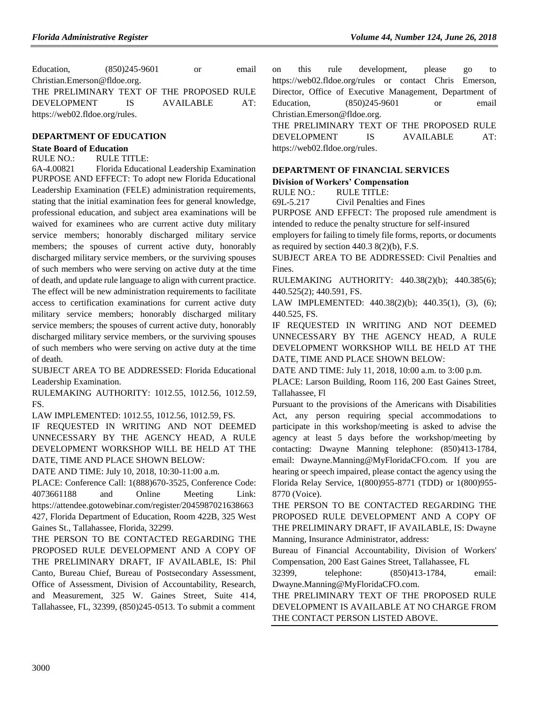| Education,                                | $(850)$ 245-9601 |  | or.       | email |
|-------------------------------------------|------------------|--|-----------|-------|
| Christian.Emerson@fldoe.org.              |                  |  |           |       |
| THE PRELIMINARY TEXT OF THE PROPOSED RULE |                  |  |           |       |
| <b>DEVELOPMENT</b>                        | IS.              |  | AVAILABLE | AT:   |
| https://web02.fldoe.org/rules.            |                  |  |           |       |

#### **[DEPARTMENT OF EDUCATION](https://www.flrules.org/gateway/department.asp?id=6)**

#### **[State Board of Education](https://www.flrules.org/gateway/organization.asp?id=195)**

#### RULE NO.: RULE TITLE:

[6A-4.00821](https://www.flrules.org/gateway/ruleNo.asp?id=6A-4.00821) Florida Educational Leadership Examination PURPOSE AND EFFECT: To adopt new Florida Educational Leadership Examination (FELE) administration requirements, stating that the initial examination fees for general knowledge, professional education, and subject area examinations will be waived for examinees who are current active duty military service members; honorably discharged military service members; the spouses of current active duty, honorably discharged military service members, or the surviving spouses of such members who were serving on active duty at the time of death, and update rule language to align with current practice. The effect will be new administration requirements to facilitate access to certification examinations for current active duty military service members; honorably discharged military service members; the spouses of current active duty, honorably discharged military service members, or the surviving spouses of such members who were serving on active duty at the time of death.

SUBJECT AREA TO BE ADDRESSED: Florida Educational Leadership Examination.

RULEMAKING AUTHORITY: [1012.55,](https://www.flrules.org/gateway/statute.asp?id=1012.55) [1012.56,](https://www.flrules.org/gateway/statute.asp?id=%201012.56) [1012.59,](https://www.flrules.org/gateway/statute.asp?id=%201012.59) FS.

LAW IMPLEMENTED: [1012.55,](https://www.flrules.org/gateway/statute.asp?id=1012.55) [1012.56,](https://www.flrules.org/gateway/statute.asp?id=%201012.56) [1012.59,](https://www.flrules.org/gateway/statute.asp?id=%201012.59) FS.

IF REQUESTED IN WRITING AND NOT DEEMED UNNECESSARY BY THE AGENCY HEAD, A RULE DEVELOPMENT WORKSHOP WILL BE HELD AT THE DATE, TIME AND PLACE SHOWN BELOW:

DATE AND TIME: July 10, 2018, 10:30-11:00 a.m.

PLACE: Conference Call: 1(888)670-3525, Conference Code: 4073661188 and Online Meeting Link: https://attendee.gotowebinar.com/register/2045987021638663 427, Florida Department of Education, Room 422B, 325 West Gaines St., Tallahassee, Florida, 32299.

THE PERSON TO BE CONTACTED REGARDING THE PROPOSED RULE DEVELOPMENT AND A COPY OF THE PRELIMINARY DRAFT, IF AVAILABLE, IS: Phil Canto, Bureau Chief, Bureau of Postsecondary Assessment, Office of Assessment, Division of Accountability, Research, and Measurement, 325 W. Gaines Street, Suite 414, Tallahassee, FL, 32399, (850)245-0513. To submit a comment

on this rule development, please go to https://web02.fldoe.org/rules or contact Chris Emerson, Director, Office of Executive Management, Department of Education, (850) 245-9601 or email Christian.Emerson@fldoe.org.

THE PRELIMINARY TEXT OF THE PROPOSED RULE DEVELOPMENT IS AVAILABLE AT: [https://web02.fldoe.org/rules.](https://web02.fldoe.org/rules)

#### **[DEPARTMENT OF FINANCIAL SERVICES](https://www.flrules.org/gateway/department.asp?id=69)**

#### **[Division of Workers' Compensation](https://www.flrules.org/gateway/organization.asp?id=370)**

RULE NO.: RULE TITLE:

[69L-5.217](https://www.flrules.org/gateway/ruleNo.asp?id=69L-5.217) Civil Penalties and Fines

PURPOSE AND EFFECT: The proposed rule amendment is intended to reduce the penalty structure for self-insured

employers for failing to timely file forms, reports, or documents as required by section  $440.3 \, 8(2)(b)$ , F.S.

SUBJECT AREA TO BE ADDRESSED: Civil Penalties and Fines.

RULEMAKING AUTHORITY: [440.38\(2\)\(b\); 440.385\(6\);](https://www.flrules.org/gateway/statute.asp?id=440.38(2)(b);%20440.385(6);%20440.525(2);%20440.591)  [440.525\(2\); 440.591,](https://www.flrules.org/gateway/statute.asp?id=440.38(2)(b);%20440.385(6);%20440.525(2);%20440.591) FS.

LAW IMPLEMENTED: [440.38\(2\)\(b\); 440.35\(1\),](https://www.flrules.org/gateway/statute.asp?id=440.38(2)(b);%20440.35(1)) (3), (6); 440.525, FS.

IF REQUESTED IN WRITING AND NOT DEEMED UNNECESSARY BY THE AGENCY HEAD, A RULE DEVELOPMENT WORKSHOP WILL BE HELD AT THE DATE, TIME AND PLACE SHOWN BELOW:

DATE AND TIME: July 11, 2018, 10:00 a.m. to 3:00 p.m.

PLACE: Larson Building, Room 116, 200 East Gaines Street, Tallahassee, Fl

Pursuant to the provisions of the Americans with Disabilities Act, any person requiring special accommodations to participate in this workshop/meeting is asked to advise the agency at least 5 days before the workshop/meeting by contacting: Dwayne Manning telephone: (850)413-1784, email: Dwayne.Manning@MyFloridaCFO.com. If you are hearing or speech impaired, please contact the agency using the Florida Relay Service, 1(800)955-8771 (TDD) or 1(800)955- 8770 (Voice).

THE PERSON TO BE CONTACTED REGARDING THE PROPOSED RULE DEVELOPMENT AND A COPY OF THE PRELIMINARY DRAFT, IF AVAILABLE, IS: Dwayne Manning, Insurance Administrator, address:

Bureau of Financial Accountability, Division of Workers' Compensation, 200 East Gaines Street, Tallahassee, FL

32399, telephone: (850)413-1784, email: Dwayne.Manning@MyFloridaCFO.com.

THE PRELIMINARY TEXT OF THE PROPOSED RULE DEVELOPMENT IS AVAILABLE AT NO CHARGE FROM THE CONTACT PERSON LISTED ABOVE.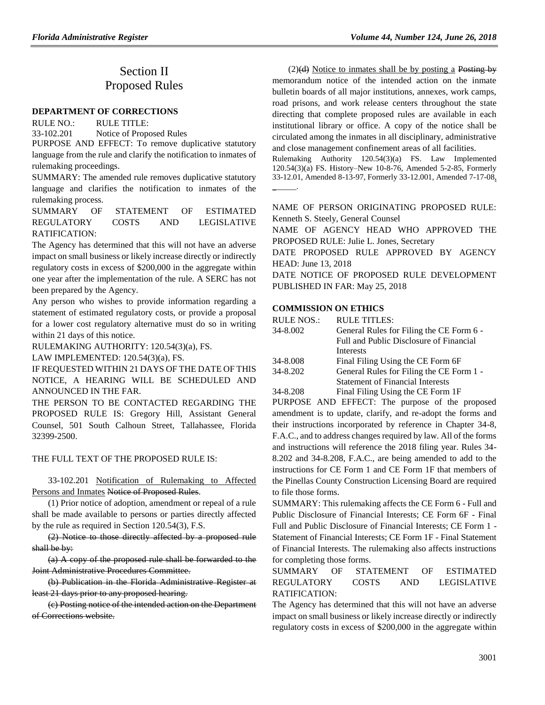# Section II Proposed Rules

#### **[DEPARTMENT OF CORRECTIONS](https://www.flrules.org/gateway/department.asp?id=33)**

RULE NO.: RULE TITLE:

[33-102.201](https://www.flrules.org/gateway/ruleNo.asp?id=33-102.201) Notice of Proposed Rules

PURPOSE AND EFFECT: To remove duplicative statutory language from the rule and clarify the notification to inmates of rulemaking proceedings.

SUMMARY: The amended rule removes duplicative statutory language and clarifies the notification to inmates of the rulemaking process.

SUMMARY OF STATEMENT OF ESTIMATED REGULATORY COSTS AND LEGISLATIVE RATIFICATION:

The Agency has determined that this will not have an adverse impact on small business or likely increase directly or indirectly regulatory costs in excess of \$200,000 in the aggregate within one year after the implementation of the rule. A SERC has not been prepared by the Agency.

Any person who wishes to provide information regarding a statement of estimated regulatory costs, or provide a proposal for a lower cost regulatory alternative must do so in writing within 21 days of this notice.

RULEMAKING AUTHORITY: [120.54\(3\)\(a\),](https://www.flrules.org/gateway/statute.asp?id=120.54(3)(a)) FS.

LAW IMPLEMENTED: [120.54\(3\)\(a\),](https://www.flrules.org/gateway/statute.asp?id=120.54(3)(a)) FS.

IF REQUESTED WITHIN 21 DAYS OF THE DATE OF THIS NOTICE, A HEARING WILL BE SCHEDULED AND ANNOUNCED IN THE FAR.

THE PERSON TO BE CONTACTED REGARDING THE PROPOSED RULE IS: Gregory Hill, Assistant General Counsel, 501 South Calhoun Street, Tallahassee, Florida 32399-2500.

# THE FULL TEXT OF THE PROPOSED RULE IS:

33-102.201 Notification of Rulemaking to Affected Persons and Inmates Notice of Proposed Rules.

(1) Prior notice of adoption, amendment or repeal of a rule shall be made available to persons or parties directly affected by the rule as required in Section 120.54(3), F.S.

(2) Notice to those directly affected by a proposed rule shall be by:

(a) A copy of the proposed rule shall be forwarded to the Joint Administrative Procedures Committee.

(b) Publication in the Florida Administrative Register at least 21 days prior to any proposed hearing.

(c) Posting notice of the intended action on the Department of Corrections website.

 $(2)(d)$  Notice to inmates shall be by posting a Posting by memorandum notice of the intended action on the inmate bulletin boards of all major institutions, annexes, work camps, road prisons, and work release centers throughout the state directing that complete proposed rules are available in each institutional library or office. A copy of the notice shall be circulated among the inmates in all disciplinary, administrative and close management confinement areas of all facilities.

Rulemaking Authority 120.54(3)(a) FS. Law Implemented 120.54(3)(a) FS. History–New 10-8-76, Amended 5-2-85, Formerly 33-12.01, Amended 8-13-97, Formerly 33-12.001, Amended 7-17-08, \_\_\_\_\_\_.

NAME OF PERSON ORIGINATING PROPOSED RULE: Kenneth S. Steely, General Counsel

NAME OF AGENCY HEAD WHO APPROVED THE PROPOSED RULE: Julie L. Jones, Secretary

DATE PROPOSED RULE APPROVED BY AGENCY HEAD: June 13, 2018

DATE NOTICE OF PROPOSED RULE DEVELOPMENT PUBLISHED IN FAR: May 25, 2018

#### **[COMMISSION ON ETHICS](https://www.flrules.org/gateway/department.asp?id=34)**

| <b>RULE NOS.:</b> | <b>RULE TITLES:</b>                      |
|-------------------|------------------------------------------|
| 34-8.002          | General Rules for Filing the CE Form 6 - |
|                   | Full and Public Disclosure of Financial  |
|                   | Interests                                |
| 34-8.008          | Final Filing Using the CE Form 6F        |
| 34-8.202          | General Rules for Filing the CE Form 1 - |
|                   | <b>Statement of Financial Interests</b>  |
| 34-8.208          | Final Filing Using the CE Form 1F        |

PURPOSE AND EFFECT: The purpose of the proposed amendment is to update, clarify, and re-adopt the forms and their instructions incorporated by reference in Chapter 34-8, F.A.C., and to address changes required by law. All of the forms and instructions will reference the 2018 filing year. Rules 34- 8.202 and 34-8.208, F.A.C., are being amended to add to the instructions for CE Form 1 and CE Form 1F that members of the Pinellas County Construction Licensing Board are required to file those forms.

SUMMARY: This rulemaking affects the CE Form 6 - Full and Public Disclosure of Financial Interests; CE Form 6F - Final Full and Public Disclosure of Financial Interests; CE Form 1 - Statement of Financial Interests; CE Form 1F - Final Statement of Financial Interests. The rulemaking also affects instructions for completing those forms.

# SUMMARY OF STATEMENT OF ESTIMATED REGULATORY COSTS AND LEGISLATIVE RATIFICATION:

The Agency has determined that this will not have an adverse impact on small business or likely increase directly or indirectly regulatory costs in excess of \$200,000 in the aggregate within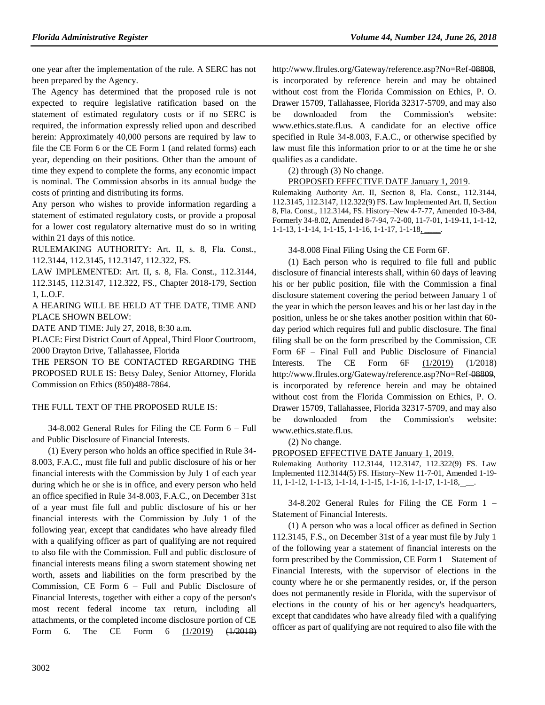one year after the implementation of the rule. A SERC has not been prepared by the Agency.

The Agency has determined that the proposed rule is not expected to require legislative ratification based on the statement of estimated regulatory costs or if no SERC is required, the information expressly relied upon and described herein: Approximately 40,000 persons are required by law to file the CE Form 6 or the CE Form 1 (and related forms) each year, depending on their positions. Other than the amount of time they expend to complete the forms, any economic impact is nominal. The Commission absorbs in its annual budge the costs of printing and distributing its forms.

Any person who wishes to provide information regarding a statement of estimated regulatory costs, or provide a proposal for a lower cost regulatory alternative must do so in writing within 21 days of this notice.

RULEMAKING AUTHORITY: [Art. II, s. 8, Fla. Const.,](https://www.flrules.org/gateway/flconstitution.asp?id=Art.%20II,%20s.%208,%20Fla.%20Const.,)  [112.3144,](https://www.flrules.org/gateway/statute.asp?id=%20112.3144) [112.3145,](https://www.flrules.org/gateway/statute.asp?id=%20112.3145) [112.3147,](https://www.flrules.org/gateway/statute.asp?id=%20112.3147) [112.322,](https://www.flrules.org/gateway/statute.asp?id=%20112.322) FS.

LAW IMPLEMENTED: [Art. II, s. 8, Fla. Const., 112.3144,](https://www.flrules.org/gateway/flconstitution.asp?id=Art.%20II,%20s.%208,%20Fla.%20Const.,) [112.3145,](https://www.flrules.org/gateway/statute.asp?id=%20112.3145) [112.3147,](https://www.flrules.org/gateway/statute.asp?id=%20112.3147) [112.322,](https://www.flrules.org/gateway/statute.asp?id=%20112.322) FS., [Chapter 2018-179, Section](https://www.flrules.org/gateway/lawfl.asp?id=%20Chapter%202018-179,%20Section%201,%20L.O.F.)  [1, L.O.F.](https://www.flrules.org/gateway/lawfl.asp?id=%20Chapter%202018-179,%20Section%201,%20L.O.F.)

A HEARING WILL BE HELD AT THE DATE, TIME AND PLACE SHOWN BELOW:

DATE AND TIME: July 27, 2018, 8:30 a.m.

PLACE: First District Court of Appeal, Third Floor Courtroom, 2000 Drayton Drive, Tallahassee, Florida

THE PERSON TO BE CONTACTED REGARDING THE PROPOSED RULE IS: Betsy Daley, Senior Attorney, Florida Commission on Ethics (850)488-7864.

#### THE FULL TEXT OF THE PROPOSED RULE IS:

34-8.002 General Rules for Filing the CE Form 6 – Full and Public Disclosure of Financial Interests.

(1) Every person who holds an office specified in Rule 34- 8.003, F.A.C., must file full and public disclosure of his or her financial interests with the Commission by July 1 of each year during which he or she is in office, and every person who held an office specified in Rule 34-8.003, F.A.C., on December 31st of a year must file full and public disclosure of his or her financial interests with the Commission by July 1 of the following year, except that candidates who have already filed with a qualifying officer as part of qualifying are not required to also file with the Commission. Full and public disclosure of financial interests means filing a sworn statement showing net worth, assets and liabilities on the form prescribed by the Commission, CE Form 6 – Full and Public Disclosure of Financial Interests, together with either a copy of the person's most recent federal income tax return, including all attachments, or the completed income disclosure portion of CE Form 6. The CE Form 6 (1/2019) (1/2018) http://www.flrules.org/Gateway/reference.asp?No=Ref-08808, is incorporated by reference herein and may be obtained without cost from the Florida Commission on Ethics, P. O. Drawer 15709, Tallahassee, Florida 32317-5709, and may also be downloaded from the Commission's website: www.ethics.state.fl.us. A candidate for an elective office specified in Rule 34-8.003, F.A.C., or otherwise specified by law must file this information prior to or at the time he or she qualifies as a candidate.

(2) through (3) No change.

# PROPOSED EFFECTIVE DATE January 1, 2019.

Rulemaking Authority Art. II, Section 8, Fla. Const., 112.3144, 112.3145, 112.3147, 112.322(9) FS. Law Implemented Art. II, Section 8, Fla. Const., 112.3144, FS. History–New 4-7-77, Amended 10-3-84, Formerly 34-8.02, Amended 8-7-94, 7-2-00, 11-7-01, 1-19-11, 1-1-12, 1-1-13, 1-1-14, 1-1-15, 1-1-16, 1-1-17, 1-1-18, \_\_\_\_.

34-8.008 Final Filing Using the CE Form 6F.

(1) Each person who is required to file full and public disclosure of financial interests shall, within 60 days of leaving his or her public position, file with the Commission a final disclosure statement covering the period between January 1 of the year in which the person leaves and his or her last day in the position, unless he or she takes another position within that 60 day period which requires full and public disclosure. The final filing shall be on the form prescribed by the Commission, CE Form 6F – Final Full and Public Disclosure of Financial Interests. The CE Form 6F (1/2019) (1/2018) http://www.flrules.org/Gateway/reference.asp?No=Ref-08809, is incorporated by reference herein and may be obtained without cost from the Florida Commission on Ethics, P. O. Drawer 15709, Tallahassee, Florida 32317-5709, and may also be downloaded from the Commission's website: www.ethics.state.fl.us.

(2) No change.

# PROPOSED EFFECTIVE DATE January 1, 2019.

Rulemaking Authority 112.3144, 112.3147, 112.322(9) FS. Law Implemented 112.3144(5) FS. History–New 11-7-01, Amended 1-19- 11, 1-1-12, 1-1-13, 1-1-14, 1-1-15, 1-1-16, 1-1-17, 1-1-18, \_\_.

34-8.202 General Rules for Filing the CE Form 1 – Statement of Financial Interests.

(1) A person who was a local officer as defined in Section 112.3145, F.S., on December 31st of a year must file by July 1 of the following year a statement of financial interests on the form prescribed by the Commission, CE Form 1 – Statement of Financial Interests, with the supervisor of elections in the county where he or she permanently resides, or, if the person does not permanently reside in Florida, with the supervisor of elections in the county of his or her agency's headquarters, except that candidates who have already filed with a qualifying officer as part of qualifying are not required to also file with the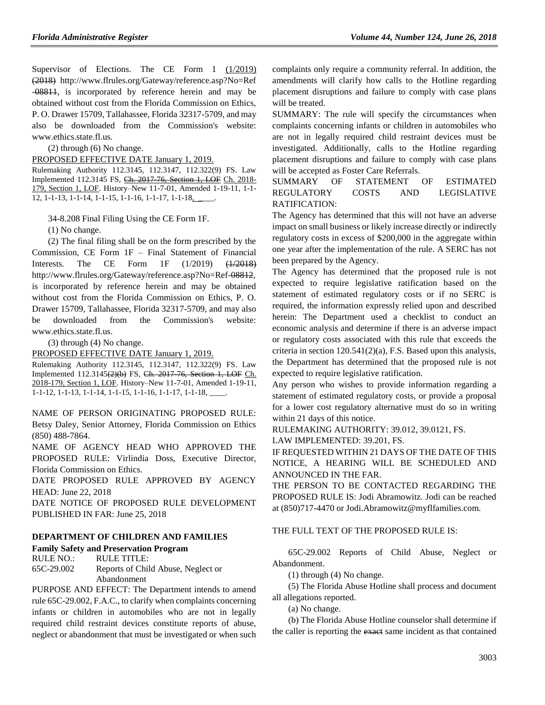Supervisor of Elections. The CE Form 1  $(1/2019)$ (2018) http://www.flrules.org/Gateway/reference.asp?No=Ref -08811, is incorporated by reference herein and may be obtained without cost from the Florida Commission on Ethics, P. O. Drawer 15709, Tallahassee, Florida 32317-5709, and may also be downloaded from the Commission's website: www.ethics.state.fl.us.

(2) through (6) No change.

PROPOSED EFFECTIVE DATE January 1, 2019.

Rulemaking Authority 112.3145, 112.3147, 112.322(9) FS. Law Implemented 112.3145 FS, Ch. 2017-76, Section 1, LOF Ch. 2018- 179, Section 1, LOF. History–New 11-7-01, Amended 1-19-11, 1-1- 12, 1-1-13, 1-1-14, 1-1-15, 1-1-16, 1-1-17, 1-1-18, \_\_\_\_.

34-8.208 Final Filing Using the CE Form 1F.

(1) No change.

(2) The final filing shall be on the form prescribed by the Commission, CE Form 1F – Final Statement of Financial Interests. The CE Form 1F (1/2019) (1/2018) http://www.flrules.org/Gateway/reference.asp?No=Ref-08812, is incorporated by reference herein and may be obtained without cost from the Florida Commission on Ethics, P. O. Drawer 15709, Tallahassee, Florida 32317-5709, and may also be downloaded from the Commission's website: www.ethics.state.fl.us.

(3) through (4) No change.

PROPOSED EFFECTIVE DATE January 1, 2019.

Rulemaking Authority 112.3145, 112.3147, 112.322(9) FS. Law Implemented 112.3145(2)(b) FS, Ch. 2017-76, Section 1, LOF Ch. 2018-179, Section 1, LOF. History–New 11-7-01, Amended 1-19-11, 1-1-12, 1-1-13, 1-1-14, 1-1-15, 1-1-16, 1-1-17, 1-1-18, \_\_\_\_.

NAME OF PERSON ORIGINATING PROPOSED RULE: Betsy Daley, Senior Attorney, Florida Commission on Ethics (850) 488-7864.

NAME OF AGENCY HEAD WHO APPROVED THE PROPOSED RULE: Virlindia Doss, Executive Director, Florida Commission on Ethics.

DATE PROPOSED RULE APPROVED BY AGENCY HEAD: June 22, 2018

DATE NOTICE OF PROPOSED RULE DEVELOPMENT PUBLISHED IN FAR: June 25, 2018

#### **[DEPARTMENT OF CHILDREN AND FAMILIES](https://www.flrules.org/gateway/department.asp?id=65)**

### **[Family Safety and Preservation Program](https://www.flrules.org/gateway/organization.asp?id=342)**

RULE NO.: RULE TITLE: [65C-29.002](https://www.flrules.org/gateway/ruleNo.asp?id=65C-29.002) Reports of Child Abuse, Neglect or Abandonment

PURPOSE AND EFFECT: The Department intends to amend rule 65C-29.002, F.A.C., to clarify when complaints concerning infants or children in automobiles who are not in legally required child restraint devices constitute reports of abuse, neglect or abandonment that must be investigated or when such complaints only require a community referral. In addition, the amendments will clarify how calls to the Hotline regarding placement disruptions and failure to comply with case plans will be treated.

SUMMARY: The rule will specify the circumstances when complaints concerning infants or children in automobiles who are not in legally required child restraint devices must be investigated. Additionally, calls to the Hotline regarding placement disruptions and failure to comply with case plans will be accepted as Foster Care Referrals.

### SUMMARY OF STATEMENT OF ESTIMATED REGULATORY COSTS AND LEGISLATIVE RATIFICATION:

The Agency has determined that this will not have an adverse impact on small business or likely increase directly or indirectly regulatory costs in excess of \$200,000 in the aggregate within one year after the implementation of the rule. A SERC has not been prepared by the Agency.

The Agency has determined that the proposed rule is not expected to require legislative ratification based on the statement of estimated regulatory costs or if no SERC is required, the information expressly relied upon and described herein: The Department used a checklist to conduct an economic analysis and determine if there is an adverse impact or regulatory costs associated with this rule that exceeds the criteria in section 120.541(2)(a), F.S. Based upon this analysis, the Department has determined that the proposed rule is not expected to require legislative ratification.

Any person who wishes to provide information regarding a statement of estimated regulatory costs, or provide a proposal for a lower cost regulatory alternative must do so in writing within 21 days of this notice.

RULEMAKING AUTHORITY: [39.012,](https://www.flrules.org/gateway/statute.asp?id=39.012) [39.0121,](https://www.flrules.org/gateway/statute.asp?id=%2039.0121) FS.

LAW IMPLEMENTED: [39.201,](https://www.flrules.org/gateway/statute.asp?id=39.201) FS.

IF REQUESTED WITHIN 21 DAYS OF THE DATE OF THIS NOTICE, A HEARING WILL BE SCHEDULED AND ANNOUNCED IN THE FAR.

THE PERSON TO BE CONTACTED REGARDING THE PROPOSED RULE IS: Jodi Abramowitz. Jodi can be reached at (850)717-4470 or Jodi.Abramowitz@myflfamilies.com.

#### THE FULL TEXT OF THE PROPOSED RULE IS:

65C-29.002 Reports of Child Abuse, Neglect or Abandonment.

(1) through (4) No change.

(5) The Florida Abuse Hotline shall process and document all allegations reported.

(a) No change.

(b) The Florida Abuse Hotline counselor shall determine if the caller is reporting the exact same incident as that contained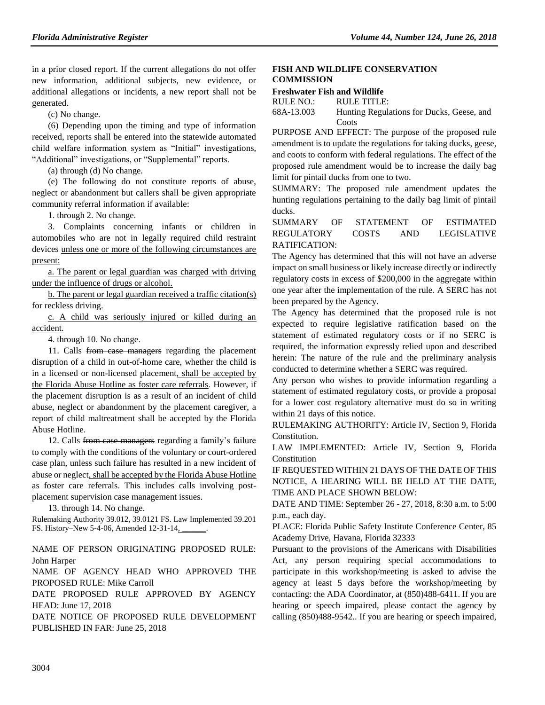in a prior closed report. If the current allegations do not offer new information, additional subjects, new evidence, or additional allegations or incidents, a new report shall not be generated.

(c) No change.

(6) Depending upon the timing and type of information received, reports shall be entered into the statewide automated child welfare information system as "Initial" investigations, "Additional" investigations, or "Supplemental" reports.

(a) through (d) No change.

(e) The following do not constitute reports of abuse, neglect or abandonment but callers shall be given appropriate community referral information if available:

1. through 2. No change.

3. Complaints concerning infants or children in automobiles who are not in legally required child restraint devices unless one or more of the following circumstances are present:

a. The parent or legal guardian was charged with driving under the influence of drugs or alcohol.

b. The parent or legal guardian received a traffic citation(s) for reckless driving.

c. A child was seriously injured or killed during an accident.

4. through 10. No change.

11. Calls from case managers regarding the placement disruption of a child in out-of-home care, whether the child is in a licensed or non-licensed placement, shall be accepted by the Florida Abuse Hotline as foster care referrals. However, if the placement disruption is as a result of an incident of child abuse, neglect or abandonment by the placement caregiver, a report of child maltreatment shall be accepted by the Florida Abuse Hotline.

12. Calls from case managers regarding a family's failure to comply with the conditions of the voluntary or court-ordered case plan, unless such failure has resulted in a new incident of abuse or neglect, shall be accepted by the Florida Abuse Hotline as foster care referrals. This includes calls involving postplacement supervision case management issues.

13. through 14. No change.

Rulemaking Authority 39.012, 39.0121 FS. Law Implemented 39.201 FS. History–New 5-4-06, Amended 12-31-14<sub>,</sub>

NAME OF PERSON ORIGINATING PROPOSED RULE: John Harper

NAME OF AGENCY HEAD WHO APPROVED THE PROPOSED RULE: Mike Carroll

DATE PROPOSED RULE APPROVED BY AGENCY HEAD: June 17, 2018

DATE NOTICE OF PROPOSED RULE DEVELOPMENT PUBLISHED IN FAR: June 25, 2018

# **[FISH AND WILDLIFE CONSERVATION](https://www.flrules.org/gateway/department.asp?id=68)  [COMMISSION](https://www.flrules.org/gateway/department.asp?id=68)**

## **[Freshwater Fish and Wildlife](https://www.flrules.org/gateway/organization.asp?id=347)**

| RULE NO.:  | RULE TITLE:                               |
|------------|-------------------------------------------|
| 68A-13.003 | Hunting Regulations for Ducks, Geese, and |
|            | Coots                                     |

PURPOSE AND EFFECT: The purpose of the proposed rule amendment is to update the regulations for taking ducks, geese, and coots to conform with federal regulations. The effect of the proposed rule amendment would be to increase the daily bag limit for pintail ducks from one to two.

SUMMARY: The proposed rule amendment updates the hunting regulations pertaining to the daily bag limit of pintail ducks.

SUMMARY OF STATEMENT OF ESTIMATED REGULATORY COSTS AND LEGISLATIVE RATIFICATION:

The Agency has determined that this will not have an adverse impact on small business or likely increase directly or indirectly regulatory costs in excess of \$200,000 in the aggregate within one year after the implementation of the rule. A SERC has not been prepared by the Agency.

The Agency has determined that the proposed rule is not expected to require legislative ratification based on the statement of estimated regulatory costs or if no SERC is required, the information expressly relied upon and described herein: The nature of the rule and the preliminary analysis conducted to determine whether a SERC was required.

Any person who wishes to provide information regarding a statement of estimated regulatory costs, or provide a proposal for a lower cost regulatory alternative must do so in writing within 21 days of this notice.

RULEMAKING AUTHORITY: [Article IV, Section 9, Florida](https://www.flrules.org/gateway/flconstitution.asp?id=Article%20IV,%20Section%209,%20Florida%20Constitution.)  [Constitution.](https://www.flrules.org/gateway/flconstitution.asp?id=Article%20IV,%20Section%209,%20Florida%20Constitution.)

LAW IMPLEMENTED: [Article IV, Section 9, Florida](https://www.flrules.org/gateway/flconstitution.asp?id=Article%20IV,%20Section%209,%20Florida%20Constitution)  [Constitution](https://www.flrules.org/gateway/flconstitution.asp?id=Article%20IV,%20Section%209,%20Florida%20Constitution)

IF REQUESTED WITHIN 21 DAYS OF THE DATE OF THIS NOTICE, A HEARING WILL BE HELD AT THE DATE, TIME AND PLACE SHOWN BELOW:

DATE AND TIME: September 26 - 27, 2018, 8:30 a.m. to 5:00 p.m., each day.

PLACE: Florida Public Safety Institute Conference Center, 85 Academy Drive, Havana, Florida 32333

Pursuant to the provisions of the Americans with Disabilities Act, any person requiring special accommodations to participate in this workshop/meeting is asked to advise the agency at least 5 days before the workshop/meeting by contacting: the ADA Coordinator, at (850)488-6411. If you are hearing or speech impaired, please contact the agency by calling (850)488-9542.. If you are hearing or speech impaired,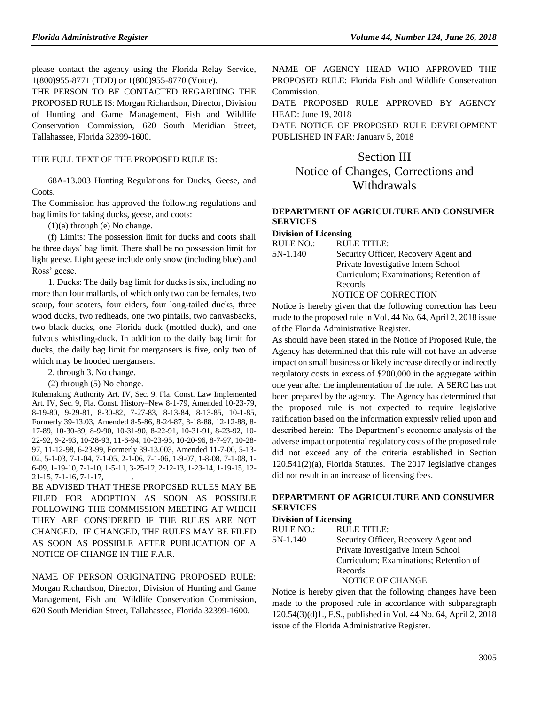please contact the agency using the Florida Relay Service, 1(800)955-8771 (TDD) or 1(800)955-8770 (Voice).

THE PERSON TO BE CONTACTED REGARDING THE PROPOSED RULE IS: Morgan Richardson, Director, Division of Hunting and Game Management, Fish and Wildlife Conservation Commission, 620 South Meridian Street, Tallahassee, Florida 32399-1600.

#### THE FULL TEXT OF THE PROPOSED RULE IS:

68A-13.003 Hunting Regulations for Ducks, Geese, and Coots.

The Commission has approved the following regulations and bag limits for taking ducks, geese, and coots:

 $(1)(a)$  through  $(e)$  No change.

(f) Limits: The possession limit for ducks and coots shall be three days' bag limit. There shall be no possession limit for light geese. Light geese include only snow (including blue) and Ross' geese.

1. Ducks: The daily bag limit for ducks is six, including no more than four mallards, of which only two can be females, two scaup, four scoters, four eiders, four long-tailed ducks, three wood ducks, two redheads, one two pintails, two canvasbacks, two black ducks, one Florida duck (mottled duck), and one fulvous whistling-duck. In addition to the daily bag limit for ducks, the daily bag limit for mergansers is five, only two of which may be hooded mergansers.

2. through 3. No change.

(2) through (5) No change.

Rulemaking Authority Art. IV, Sec. 9, Fla. Const. Law Implemented Art. IV, Sec. 9, Fla. Const. History–New 8-1-79, Amended 10-23-79, 8-19-80, 9-29-81, 8-30-82, 7-27-83, 8-13-84, 8-13-85, 10-1-85, Formerly 39-13.03, Amended 8-5-86, 8-24-87, 8-18-88, 12-12-88, 8- 17-89, 10-30-89, 8-9-90, 10-31-90, 8-22-91, 10-31-91, 8-23-92, 10- 22-92, 9-2-93, 10-28-93, 11-6-94, 10-23-95, 10-20-96, 8-7-97, 10-28- 97, 11-12-98, 6-23-99, Formerly 39-13.003, Amended 11-7-00, 5-13- 02, 5-1-03, 7-1-04, 7-1-05, 2-1-06, 7-1-06, 1-9-07, 1-8-08, 7-1-08, 1- 6-09, 1-19-10, 7-1-10, 1-5-11, 3-25-12, 2-12-13, 1-23-14, 1-19-15, 12- 21-15, 7-1-16, 7-1-17, .

BE ADVISED THAT THESE PROPOSED RULES MAY BE FILED FOR ADOPTION AS SOON AS POSSIBLE FOLLOWING THE COMMISSION MEETING AT WHICH THEY ARE CONSIDERED IF THE RULES ARE NOT CHANGED. IF CHANGED, THE RULES MAY BE FILED AS SOON AS POSSIBLE AFTER PUBLICATION OF A NOTICE OF CHANGE IN THE F.A.R.

NAME OF PERSON ORIGINATING PROPOSED RULE: Morgan Richardson, Director, Division of Hunting and Game Management, Fish and Wildlife Conservation Commission, 620 South Meridian Street, Tallahassee, Florida 32399-1600.

NAME OF AGENCY HEAD WHO APPROVED THE PROPOSED RULE: Florida Fish and Wildlife Conservation Commission.

DATE PROPOSED RULE APPROVED BY AGENCY HEAD: June 19, 2018

DATE NOTICE OF PROPOSED RULE DEVELOPMENT PUBLISHED IN FAR: January 5, 2018

# Section III Notice of Changes, Corrections and **Withdrawals**

### **[DEPARTMENT OF AGRICULTURE AND CONSUMER](https://www.flrules.org/gateway/department.asp?id=5)  [SERVICES](https://www.flrules.org/gateway/department.asp?id=5)**

#### **[Division of Licensing](https://www.flrules.org/gateway/organization.asp?id=756)**

| Dividion of Encembers |                                        |
|-----------------------|----------------------------------------|
| RULE NO.:             | <b>RULE TITLE:</b>                     |
| 5N-1.140              | Security Officer, Recovery Agent and   |
|                       | Private Investigative Intern School    |
|                       | Curriculum; Examinations; Retention of |
|                       | Records                                |
|                       | <b>NOTICE OF CORRECTION</b>            |

Notice is hereby given that the following correction has been made to the proposed rule in Vol. 44 No. 64, April 2, 2018 issue of the Florida Administrative Register.

As should have been stated in the Notice of Proposed Rule, the Agency has determined that this rule will not have an adverse impact on small business or likely increase directly or indirectly regulatory costs in excess of \$200,000 in the aggregate within one year after the implementation of the rule. A SERC has not been prepared by the agency. The Agency has determined that the proposed rule is not expected to require legislative ratification based on the information expressly relied upon and described herein: The Department's economic analysis of the adverse impact or potential regulatory costs of the proposed rule did not exceed any of the criteria established in Section 120.541(2)(a), Florida Statutes. The 2017 legislative changes did not result in an increase of licensing fees.

# **[DEPARTMENT OF AGRICULTURE AND CONSUMER](https://www.flrules.org/gateway/department.asp?id=5)  [SERVICES](https://www.flrules.org/gateway/department.asp?id=5)**

#### **[Division of Licensing](https://www.flrules.org/gateway/organization.asp?id=756)**

| <b>RULE NO.:</b> | <b>RULE TITLE:</b>                     |
|------------------|----------------------------------------|
| $5N-1.140$       | Security Officer, Recovery Agent and   |
|                  | Private Investigative Intern School    |
|                  | Curriculum; Examinations; Retention of |
|                  | Records                                |
|                  | NOTICE OF CHANGE                       |

Notice is hereby given that the following changes have been made to the proposed rule in accordance with subparagraph 120.54(3)(d)1., F.S., published in Vol. 44 No. 64, April 2, 2018 issue of the Florida Administrative Register.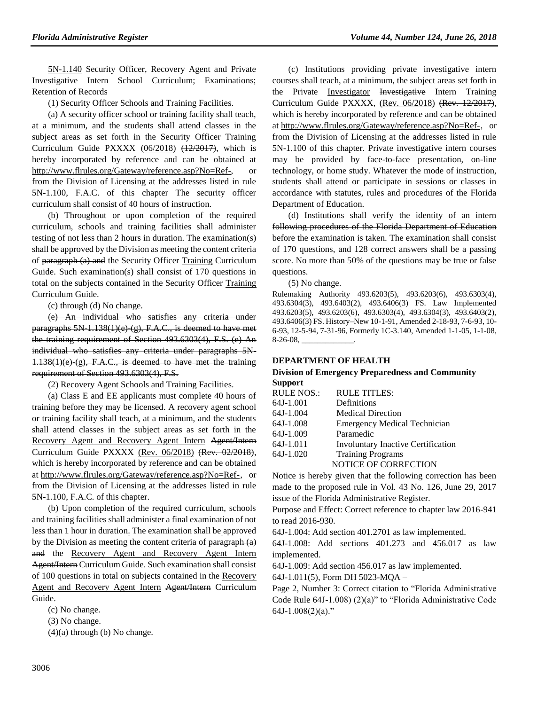[5N-1.140](https://www.flrules.org/gateway/ruleNo.asp?id=5N-1.142) Security Officer, Recovery Agent and Private Investigative Intern School Curriculum; Examinations; Retention of Records

(1) Security Officer Schools and Training Facilities.

(a) A security officer school or training facility shall teach, at a minimum, and the students shall attend classes in the subject areas as set forth in the Security Officer Training Curriculum Guide PXXXX (06/2018) (12/2017), which is hereby incorporated by reference and can be obtained at [http://www.flrules.org/Gateway/reference.asp?No=Ref-,](http://www.flrules.org/Gateway/reference.asp?No=Ref-) or from the Division of Licensing at the addresses listed in rule 5N-1.100, F.A.C. of this chapter The security officer curriculum shall consist of 40 hours of instruction.

(b) Throughout or upon completion of the required curriculum, schools and training facilities shall administer testing of not less than 2 hours in duration. The examination(s) shall be approved by the Division as meeting the content criteria of paragraph (a) and the Security Officer Training Curriculum Guide. Such examination(s) shall consist of 170 questions in total on the subjects contained in the Security Officer Training Curriculum Guide.

(c) through (d) No change.

(e) An individual who satisfies any criteria under paragraphs  $5N-1.138(1)(e)$  (g), F.A.C., is deemed to have met the training requirement of Section 493.6303(4), F.S. (e) An individual who satisfies any criteria under paragraphs 5N- $1.138(1)(e)$  (g), F.A.C., is deemed to have met the training requirement of Section 493.6303(4), F.S.

(2) Recovery Agent Schools and Training Facilities.

(a) Class E and EE applicants must complete 40 hours of training before they may be licensed. A recovery agent school or training facility shall teach, at a minimum, and the students shall attend classes in the subject areas as set forth in the Recovery Agent and Recovery Agent Intern Agent/Intern Curriculum Guide PXXXX (Rev. 06/2018) (Rev. 02/2018), which is hereby incorporated by reference and can be obtained a[t http://www.flrules.org/Gateway/reference.asp?No=Ref-,](http://www.flrules.org/Gateway/reference.asp?No=Ref-) or from the Division of Licensing at the addresses listed in rule 5N-1.100, F.A.C. of this chapter.

(b) Upon completion of the required curriculum, schools and training facilities shall administer a final examination of not less than 1 hour in duration. The examination shall be approved by the Division as meeting the content criteria of paragraph (a) and the Recovery Agent and Recovery Agent Intern Agent/Intern Curriculum Guide. Such examination shall consist of 100 questions in total on subjects contained in the Recovery Agent and Recovery Agent Intern Agent/Intern Curriculum Guide.

(c) No change.

(3) No change.

 $(4)(a)$  through  $(b)$  No change.

(c) Institutions providing private investigative intern courses shall teach, at a minimum, the subject areas set forth in the Private Investigator Investigative Intern Training Curriculum Guide PXXXX, (Rev. 06/2018) (Rev. 12/2017), which is hereby incorporated by reference and can be obtained a[t http://www.flrules.org/Gateway/reference.asp?No=Ref-,](http://www.flrules.org/Gateway/reference.asp?No=Ref-) or from the Division of Licensing at the addresses listed in rule 5N-1.100 of this chapter. Private investigative intern courses may be provided by face-to-face presentation, on-line technology, or home study. Whatever the mode of instruction, students shall attend or participate in sessions or classes in accordance with statutes, rules and procedures of the Florida Department of Education.

(d) Institutions shall verify the identity of an intern following procedures of the Florida Department of Education before the examination is taken. The examination shall consist of 170 questions, and 128 correct answers shall be a passing score. No more than 50% of the questions may be true or false questions.

(5) No change.

Rulemaking Authority 493.6203(5), 493.6203(6), 493.6303(4), 493.6304(3), 493.6403(2), 493.6406(3) FS. Law Implemented 493.6203(5), 493.6203(6), 493.6303(4), 493.6304(3), 493.6403(2), 493.6406(3) FS. History–New 10-1-91, Amended 2-18-93, 7-6-93, 10- 6-93, 12-5-94, 7-31-96, Formerly 1C-3.140, Amended 1-1-05, 1-1-08,  $8-26-08$ ,

#### **[DEPARTMENT OF HEALTH](https://www.flrules.org/gateway/department.asp?id=64)**

#### **[Division of Emergency Preparedness and Community](https://www.flrules.org/gateway/organization.asp?id=832)  [Support](https://www.flrules.org/gateway/organization.asp?id=832)**

| <b>RULE NOS.:</b> | <b>RULE TITLES:</b>                       |
|-------------------|-------------------------------------------|
| 64J-1.001         | Definitions                               |
| 64J-1.004         | <b>Medical Direction</b>                  |
| 64J-1.008         | <b>Emergency Medical Technician</b>       |
| 64J-1.009         | Paramedic                                 |
| 64J-1.011         | <b>Involuntary Inactive Certification</b> |
| 64J-1.020         | <b>Training Programs</b>                  |
|                   | <b>NOTICE OF CORRECTION</b>               |
|                   |                                           |

Notice is hereby given that the following correction has been made to the proposed rule in Vol. 43 No. 126, June 29, 2017 issue of the Florida Administrative Register.

Purpose and Effect: Correct reference to chapter law 2016-941 to read 2016-930.

64J-1.004: Add section 401.2701 as law implemented.

64J-1.008: Add sections 401.273 and 456.017 as law implemented.

64J-1.009: Add section 456.017 as law implemented.

64J-1.011(5), Form DH 5023-MQA –

Page 2, Number 3: Correct citation to "Florida Administrative Code Rule 64J-1.008) (2)(a)" to "Florida Administrative Code  $64J-1.008(2)(a)$ ."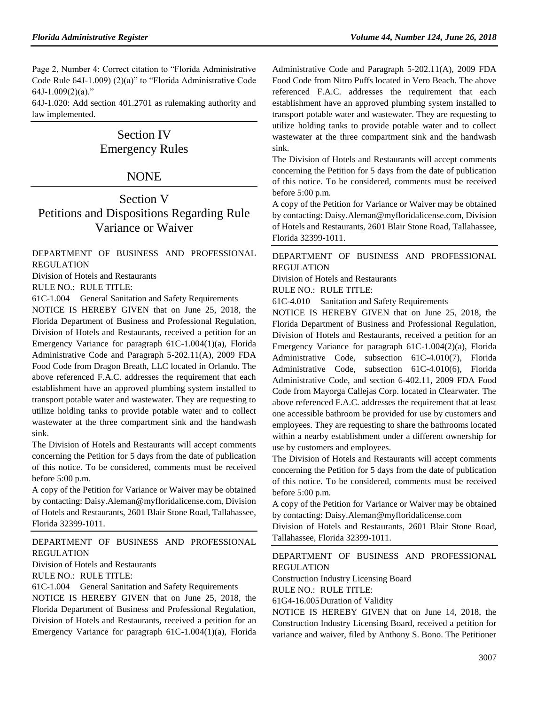Page 2, Number 4: Correct citation to "Florida Administrative Code Rule 64J-1.009) (2)(a)" to "Florida Administrative Code  $64J-1.009(2)(a)$ ."

64J-1.020: Add section 401.2701 as rulemaking authority and law implemented.

# Section IV Emergency Rules

# NONE

# Section V Petitions and Dispositions Regarding Rule Variance or Waiver

[DEPARTMENT OF BUSINESS AND PROFESSIONAL](https://www.flrules.org/gateway/department.asp?id=61)  [REGULATION](https://www.flrules.org/gateway/department.asp?id=61)

[Division of Hotels and Restaurants](https://www.flrules.org/gateway/organization.asp?id=249)

RULE NO.: RULE TITLE:

[61C-1.004](https://www.flrules.org/gateway/ruleNo.asp?id=61C-1.004) General Sanitation and Safety Requirements

NOTICE IS HEREBY GIVEN that on June 25, 2018, the Florida Department of Business and Professional Regulation, Division of Hotels and Restaurants, received a petition for an Emergency Variance for paragraph 61C-1.004(1)(a), Florida Administrative Code and Paragraph 5-202.11(A), 2009 FDA Food Code from Dragon Breath, LLC located in Orlando. The above referenced F.A.C. addresses the requirement that each establishment have an approved plumbing system installed to transport potable water and wastewater. They are requesting to utilize holding tanks to provide potable water and to collect wastewater at the three compartment sink and the handwash sink.

The Division of Hotels and Restaurants will accept comments concerning the Petition for 5 days from the date of publication of this notice. To be considered, comments must be received before 5:00 p.m.

A copy of the Petition for Variance or Waiver may be obtained by contacting: Daisy.Aleman@myfloridalicense.com, Division of Hotels and Restaurants, 2601 Blair Stone Road, Tallahassee, Florida 32399-1011.

[DEPARTMENT OF BUSINESS AND PROFESSIONAL](https://www.flrules.org/gateway/department.asp?id=61)  [REGULATION](https://www.flrules.org/gateway/department.asp?id=61)

[Division of Hotels and Restaurants](https://www.flrules.org/gateway/organization.asp?id=249)

RULE NO.: RULE TITLE:

[61C-1.004](https://www.flrules.org/gateway/ruleNo.asp?id=61C-1.004) General Sanitation and Safety Requirements

NOTICE IS HEREBY GIVEN that on June 25, 2018, the Florida Department of Business and Professional Regulation, Division of Hotels and Restaurants, received a petition for an Emergency Variance for paragraph 61C-1.004(1)(a), Florida Administrative Code and Paragraph 5-202.11(A), 2009 FDA Food Code from Nitro Puffs located in Vero Beach. The above referenced F.A.C. addresses the requirement that each establishment have an approved plumbing system installed to transport potable water and wastewater. They are requesting to utilize holding tanks to provide potable water and to collect wastewater at the three compartment sink and the handwash sink.

The Division of Hotels and Restaurants will accept comments concerning the Petition for 5 days from the date of publication of this notice. To be considered, comments must be received before 5:00 p.m.

A copy of the Petition for Variance or Waiver may be obtained by contacting: Daisy.Aleman@myfloridalicense.com, Division of Hotels and Restaurants, 2601 Blair Stone Road, Tallahassee, Florida 32399-1011.

[DEPARTMENT OF BUSINESS AND PROFESSIONAL](https://www.flrules.org/gateway/department.asp?id=61)  [REGULATION](https://www.flrules.org/gateway/department.asp?id=61)

[Division of Hotels and Restaurants](https://www.flrules.org/gateway/organization.asp?id=249)

RULE NO.: RULE TITLE:

[61C-4.010](https://www.flrules.org/gateway/ruleNo.asp?id=61C-4.010) Sanitation and Safety Requirements

NOTICE IS HEREBY GIVEN that on June 25, 2018, the Florida Department of Business and Professional Regulation, Division of Hotels and Restaurants, received a petition for an Emergency Variance for paragraph 61C-1.004(2)(a), Florida Administrative Code, subsection 61C-4.010(7), Florida Administrative Code, subsection 61C-4.010(6), Florida Administrative Code, and section 6-402.11, 2009 FDA Food Code from Mayorga Callejas Corp. located in Clearwater. The above referenced F.A.C. addresses the requirement that at least one accessible bathroom be provided for use by customers and employees. They are requesting to share the bathrooms located within a nearby establishment under a different ownership for use by customers and employees.

The Division of Hotels and Restaurants will accept comments concerning the Petition for 5 days from the date of publication of this notice. To be considered, comments must be received before 5:00 p.m.

A copy of the Petition for Variance or Waiver may be obtained by contacting: Daisy.Aleman@myfloridalicense.com

Division of Hotels and Restaurants, 2601 Blair Stone Road, Tallahassee, Florida 32399-1011.

# [DEPARTMENT OF BUSINESS AND PROFESSIONAL](https://www.flrules.org/gateway/department.asp?id=61)  [REGULATION](https://www.flrules.org/gateway/department.asp?id=61)

[Construction Industry Licensing Board](https://www.flrules.org/gateway/organization.asp?id=274)

RULE NO.: RULE TITLE:

[61G4-16.005D](https://www.flrules.org/gateway/ruleNo.asp?id=61G4-16.005)uration of Validity

NOTICE IS HEREBY GIVEN that on June 14, 2018, the Construction Industry Licensing Board, received a petition for variance and waiver, filed by Anthony S. Bono. The Petitioner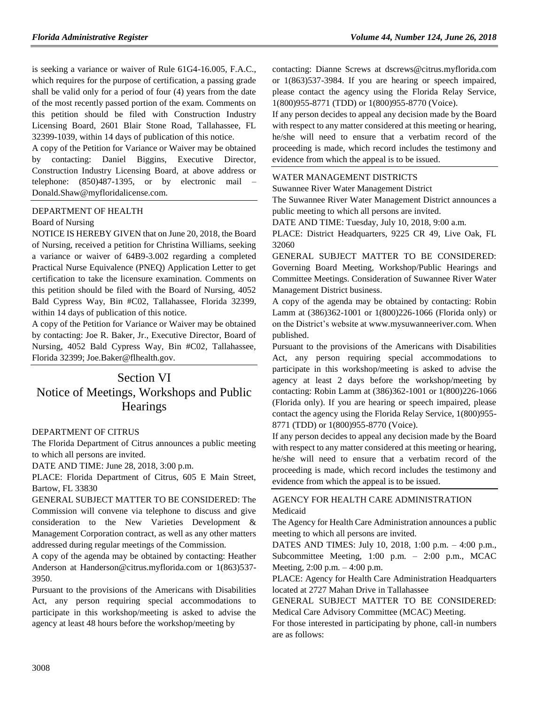is seeking a variance or waiver of Rule 61G4-16.005, F.A.C., which requires for the purpose of certification, a passing grade shall be valid only for a period of four (4) years from the date of the most recently passed portion of the exam. Comments on this petition should be filed with Construction Industry Licensing Board, 2601 Blair Stone Road, Tallahassee, FL 32399-1039, within 14 days of publication of this notice.

A copy of the Petition for Variance or Waiver may be obtained by contacting: Daniel Biggins, Executive Director, Construction Industry Licensing Board, at above address or telephone: (850)487-1395, or by electronic mail – Donald.Shaw@myfloridalicense.com.

#### [DEPARTMENT OF HEALTH](https://www.flrules.org/gateway/department.asp?id=64)

#### [Board of Nursing](https://www.flrules.org/gateway/organization.asp?id=332)

NOTICE IS HEREBY GIVEN that on June 20, 2018, the Board of Nursing, received a petition for Christina Williams, seeking a variance or waiver of 64B9-3.002 regarding a completed Practical Nurse Equivalence (PNEQ) Application Letter to get certification to take the licensure examination. Comments on this petition should be filed with the Board of Nursing, 4052 Bald Cypress Way, Bin #C02, Tallahassee, Florida 32399, within 14 days of publication of this notice.

A copy of the Petition for Variance or Waiver may be obtained by contacting: Joe R. Baker, Jr., Executive Director, Board of Nursing, 4052 Bald Cypress Way, Bin #C02, Tallahassee, Florida 32399; Joe.Baker@flhealth.gov.

# Section VI Notice of Meetings, Workshops and Public **Hearings**

#### [DEPARTMENT OF CITRUS](https://www.flrules.org/gateway/department.asp?id=20)

The Florida Department of Citrus announces a public meeting to which all persons are invited.

DATE AND TIME: June 28, 2018, 3:00 p.m.

PLACE: Florida Department of Citrus, 605 E Main Street, Bartow, FL 33830

GENERAL SUBJECT MATTER TO BE CONSIDERED: The Commission will convene via telephone to discuss and give consideration to the New Varieties Development & Management Corporation contract, as well as any other matters addressed during regular meetings of the Commission.

A copy of the agenda may be obtained by contacting: Heather Anderson at Handerson@citrus.myflorida.com or 1(863)537- 3950.

Pursuant to the provisions of the Americans with Disabilities Act, any person requiring special accommodations to participate in this workshop/meeting is asked to advise the agency at least 48 hours before the workshop/meeting by

contacting: Dianne Screws at dscrews@citrus.myflorida.com or 1(863)537-3984. If you are hearing or speech impaired, please contact the agency using the Florida Relay Service, 1(800)955-8771 (TDD) or 1(800)955-8770 (Voice).

If any person decides to appeal any decision made by the Board with respect to any matter considered at this meeting or hearing, he/she will need to ensure that a verbatim record of the proceeding is made, which record includes the testimony and evidence from which the appeal is to be issued.

#### [WATER MANAGEMENT DISTRICTS](https://www.flrules.org/gateway/department.asp?id=40)

[Suwannee River Water Management District](https://www.flrules.org/gateway/organization.asp?id=121)

The Suwannee River Water Management District announces a public meeting to which all persons are invited.

DATE AND TIME: Tuesday, July 10, 2018, 9:00 a.m.

PLACE: District Headquarters, 9225 CR 49, Live Oak, FL 32060

GENERAL SUBJECT MATTER TO BE CONSIDERED: Governing Board Meeting, Workshop/Public Hearings and Committee Meetings. Consideration of Suwannee River Water Management District business.

A copy of the agenda may be obtained by contacting: Robin Lamm at (386)362-1001 or 1(800)226-1066 (Florida only) or on the District's website at www.mysuwanneeriver.com. When published.

Pursuant to the provisions of the Americans with Disabilities Act, any person requiring special accommodations to participate in this workshop/meeting is asked to advise the agency at least 2 days before the workshop/meeting by contacting: Robin Lamm at (386)362-1001 or 1(800)226-1066 (Florida only). If you are hearing or speech impaired, please contact the agency using the Florida Relay Service, 1(800)955- 8771 (TDD) or 1(800)955-8770 (Voice).

If any person decides to appeal any decision made by the Board with respect to any matter considered at this meeting or hearing, he/she will need to ensure that a verbatim record of the proceeding is made, which record includes the testimony and evidence from which the appeal is to be issued.

#### [AGENCY FOR HEALTH CARE ADMINISTRATION](https://www.flrules.org/gateway/department.asp?id=59) [Medicaid](https://www.flrules.org/gateway/organization.asp?id=192)

The Agency for Health Care Administration announces a public meeting to which all persons are invited.

DATES AND TIMES: July 10, 2018, 1:00 p.m. – 4:00 p.m., Subcommittee Meeting, 1:00 p.m. – 2:00 p.m., MCAC Meeting, 2:00 p.m. – 4:00 p.m.

PLACE: Agency for Health Care Administration Headquarters located at 2727 Mahan Drive in Tallahassee

GENERAL SUBJECT MATTER TO BE CONSIDERED: Medical Care Advisory Committee (MCAC) Meeting.

For those interested in participating by phone, call-in numbers are as follows: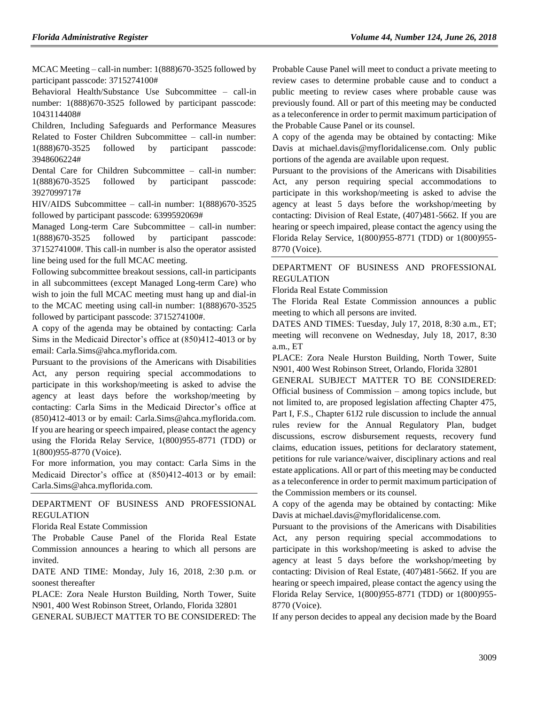MCAC Meeting – call-in number: 1(888)670-3525 followed by participant passcode: 3715274100#

Behavioral Health/Substance Use Subcommittee – call-in number: 1(888)670-3525 followed by participant passcode: 1043114408#

Children, Including Safeguards and Performance Measures Related to Foster Children Subcommittee – call-in number: 1(888)670-3525 followed by participant passcode: 3948606224#

Dental Care for Children Subcommittee – call-in number: 1(888)670-3525 followed by participant passcode: 3927099717#

HIV/AIDS Subcommittee – call-in number: 1(888)670-3525 followed by participant passcode: 6399592069#

Managed Long-term Care Subcommittee – call-in number: 1(888)670-3525 followed by participant passcode: 3715274100#. This call-in number is also the operator assisted line being used for the full MCAC meeting.

Following subcommittee breakout sessions, call-in participants in all subcommittees (except Managed Long-term Care) who wish to join the full MCAC meeting must hang up and dial-in to the MCAC meeting using call-in number: 1(888)670-3525 followed by participant passcode: 3715274100#.

A copy of the agenda may be obtained by contacting: Carla Sims in the Medicaid Director's office at (850)412-4013 or by email: Carla.Sims@ahca.myflorida.com.

Pursuant to the provisions of the Americans with Disabilities Act, any person requiring special accommodations to participate in this workshop/meeting is asked to advise the agency at least days before the workshop/meeting by contacting: Carla Sims in the Medicaid Director's office at (850)412-4013 or by email: Carla.Sims@ahca.myflorida.com. If you are hearing or speech impaired, please contact the agency using the Florida Relay Service, 1(800)955-8771 (TDD) or 1(800)955-8770 (Voice).

For more information, you may contact: Carla Sims in the Medicaid Director's office at (850)412-4013 or by email: Carla.Sims@ahca.myflorida.com.

### [DEPARTMENT OF BUSINESS AND PROFESSIONAL](https://www.flrules.org/gateway/department.asp?id=61)  [REGULATION](https://www.flrules.org/gateway/department.asp?id=61)

#### [Florida Real Estate Commission](https://www.flrules.org/gateway/organization.asp?id=283)

The Probable Cause Panel of the Florida Real Estate Commission announces a hearing to which all persons are invited.

DATE AND TIME: Monday, July 16, 2018, 2:30 p.m. or soonest thereafter

PLACE: Zora Neale Hurston Building, North Tower, Suite N901, 400 West Robinson Street, Orlando, Florida 32801

GENERAL SUBJECT MATTER TO BE CONSIDERED: The

Probable Cause Panel will meet to conduct a private meeting to review cases to determine probable cause and to conduct a public meeting to review cases where probable cause was previously found. All or part of this meeting may be conducted as a teleconference in order to permit maximum participation of the Probable Cause Panel or its counsel.

A copy of the agenda may be obtained by contacting: Mike Davis at michael.davis@myfloridalicense.com. Only public portions of the agenda are available upon request.

Pursuant to the provisions of the Americans with Disabilities Act, any person requiring special accommodations to participate in this workshop/meeting is asked to advise the agency at least 5 days before the workshop/meeting by contacting: Division of Real Estate, (407)481-5662. If you are hearing or speech impaired, please contact the agency using the Florida Relay Service, 1(800)955-8771 (TDD) or 1(800)955- 8770 (Voice).

#### [DEPARTMENT OF BUSINESS AND PROFESSIONAL](https://www.flrules.org/gateway/department.asp?id=61)  [REGULATION](https://www.flrules.org/gateway/department.asp?id=61)

#### [Florida Real Estate Commission](https://www.flrules.org/gateway/organization.asp?id=283)

The Florida Real Estate Commission announces a public meeting to which all persons are invited.

DATES AND TIMES: Tuesday, July 17, 2018, 8:30 a.m., ET; meeting will reconvene on Wednesday, July 18, 2017, 8:30 a.m., ET

PLACE: Zora Neale Hurston Building, North Tower, Suite N901, 400 West Robinson Street, Orlando, Florida 32801

GENERAL SUBJECT MATTER TO BE CONSIDERED: Official business of Commission – among topics include, but not limited to, are proposed legislation affecting Chapter 475, Part I, F.S., Chapter 61J2 rule discussion to include the annual rules review for the Annual Regulatory Plan, budget discussions, escrow disbursement requests, recovery fund claims, education issues, petitions for declaratory statement, petitions for rule variance/waiver, disciplinary actions and real estate applications. All or part of this meeting may be conducted as a teleconference in order to permit maximum participation of the Commission members or its counsel.

A copy of the agenda may be obtained by contacting: Mike Davis at michael.davis@myfloridalicense.com.

Pursuant to the provisions of the Americans with Disabilities Act, any person requiring special accommodations to participate in this workshop/meeting is asked to advise the agency at least 5 days before the workshop/meeting by contacting: Division of Real Estate, (407)481-5662. If you are hearing or speech impaired, please contact the agency using the Florida Relay Service, 1(800)955-8771 (TDD) or 1(800)955- 8770 (Voice).

If any person decides to appeal any decision made by the Board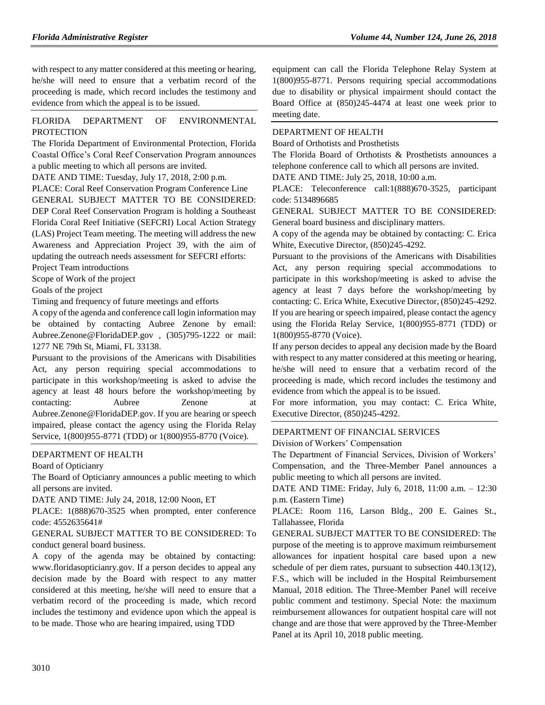with respect to any matter considered at this meeting or hearing, he/she will need to ensure that a verbatim record of the proceeding is made, which record includes the testimony and evidence from which the appeal is to be issued.

## FLORIDA DEPARTMENT OF ENVIRONMENTAL PROTECTION

The Florida Department of Environmental Protection, Florida Coastal Office's Coral Reef Conservation Program announces a public meeting to which all persons are invited.

DATE AND TIME: Tuesday, July 17, 2018, 2:00 p.m.

PLACE: Coral Reef Conservation Program Conference Line GENERAL SUBJECT MATTER TO BE CONSIDERED: DEP Coral Reef Conservation Program is holding a Southeast Florida Coral Reef Initiative (SEFCRI) Local Action Strategy (LAS) Project Team meeting. The meeting will address the new Awareness and Appreciation Project 39, with the aim of updating the outreach needs assessment for SEFCRI efforts:

Project Team introductions

Scope of Work of the project

Goals of the project

Timing and frequency of future meetings and efforts

A copy of the agenda and conference call login information may be obtained by contacting Aubree Zenone by email: [Aubree.Zenone@F](mailto:Aubree.Zenone@)loridaDEP.gov , (305)795-1222 or mail: 1277 NE 79th St, Miami, FL 33138.

Pursuant to the provisions of the Americans with Disabilities Act, any person requiring special accommodations to participate in this workshop/meeting is asked to advise the agency at least 48 hours before the workshop/meeting by contacting: Aubree Zenone at [Aubree.Zenone@FloridaDEP.gov.](mailto:Aubree.Zenone@FloridaDEP.gov) If you are hearing or speech impaired, please contact the agency using the Florida Relay Service, 1(800)955-8771 (TDD) or 1(800)955-8770 (Voice).

#### [DEPARTMENT OF HEALTH](https://www.flrules.org/gateway/department.asp?id=64)

[Board of Opticianry](https://www.flrules.org/gateway/organization.asp?id=303)

The Board of Opticianry announces a public meeting to which all persons are invited.

DATE AND TIME: July 24, 2018, 12:00 Noon, ET

PLACE: 1(888)670-3525 when prompted, enter conference code: 4552635641#

## GENERAL SUBJECT MATTER TO BE CONSIDERED: To conduct general board business.

A copy of the agenda may be obtained by contacting: www.floridasopticianry.gov. If a person decides to appeal any decision made by the Board with respect to any matter considered at this meeting, he/she will need to ensure that a verbatim record of the proceeding is made, which record includes the testimony and evidence upon which the appeal is to be made. Those who are hearing impaired, using TDD

equipment can call the Florida Telephone Relay System at 1(800)955-8771. Persons requiring special accommodations due to disability or physical impairment should contact the Board Office at (850)245-4474 at least one week prior to meeting date.

# [DEPARTMENT OF HEALTH](https://www.flrules.org/gateway/department.asp?id=64)

[Board of Orthotists and Prosthetists](https://www.flrules.org/gateway/organization.asp?id=305)

The Florida Board of Orthotists & Prosthetists announces a telephone conference call to which all persons are invited.

DATE AND TIME: July 25, 2018, 10:00 a.m.

PLACE: Teleconference call:1(888)670-3525, participant code: 5134896685

GENERAL SUBJECT MATTER TO BE CONSIDERED: General board business and disciplinary matters.

A copy of the agenda may be obtained by contacting: C. Erica White, Executive Director, (850)245-4292.

Pursuant to the provisions of the Americans with Disabilities Act, any person requiring special accommodations to participate in this workshop/meeting is asked to advise the agency at least 7 days before the workshop/meeting by contacting: C. Erica White, Executive Director, (850)245-4292. If you are hearing or speech impaired, please contact the agency using the Florida Relay Service, 1(800)955-8771 (TDD) or 1(800)955-8770 (Voice).

If any person decides to appeal any decision made by the Board with respect to any matter considered at this meeting or hearing, he/she will need to ensure that a verbatim record of the proceeding is made, which record includes the testimony and evidence from which the appeal is to be issued.

For more information, you may contact: C. Erica White, Executive Director, (850)245-4292.

#### [DEPARTMENT OF FINANCIAL SERVICES](https://www.flrules.org/gateway/department.asp?id=69)

[Division of Workers' Compensation](https://www.flrules.org/gateway/organization.asp?id=370)

The Department of Financial Services, Division of Workers' Compensation, and the Three-Member Panel announces a public meeting to which all persons are invited.

DATE AND TIME: Friday, July 6, 2018, 11:00 a.m. – 12:30 p.m. (Eastern Time)

PLACE: Room 116, Larson Bldg., 200 E. Gaines St., Tallahassee, Florida

GENERAL SUBJECT MATTER TO BE CONSIDERED: The purpose of the meeting is to approve maximum reimbursement allowances for inpatient hospital care based upon a new schedule of per diem rates, pursuant to subsection 440.13(12), F.S., which will be included in the Hospital Reimbursement Manual, 2018 edition. The Three-Member Panel will receive public comment and testimony. Special Note: the maximum reimbursement allowances for outpatient hospital care will not change and are those that were approved by the Three-Member Panel at its April 10, 2018 public meeting.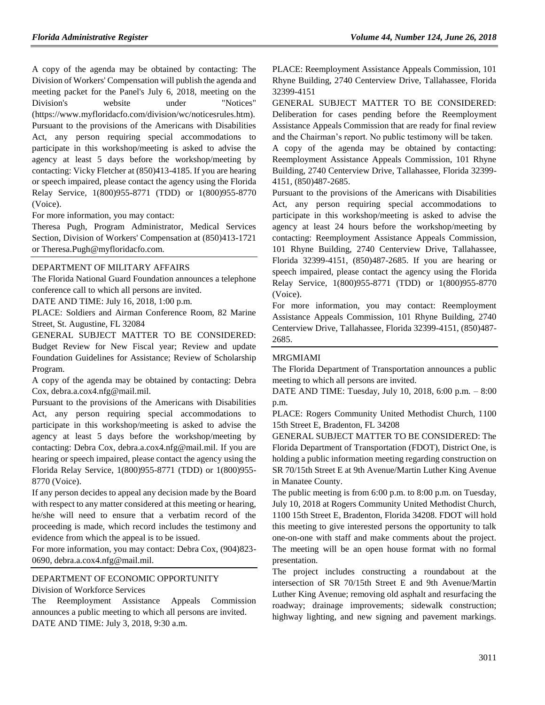A copy of the agenda may be obtained by contacting: The Division of Workers' Compensation will publish the agenda and meeting packet for the Panel's July 6, 2018, meeting on the Division's website under "Notices" (https://www.myfloridacfo.com/division/wc/noticesrules.htm). Pursuant to the provisions of the Americans with Disabilities Act, any person requiring special accommodations to participate in this workshop/meeting is asked to advise the agency at least 5 days before the workshop/meeting by contacting: Vicky Fletcher at (850)413-4185. If you are hearing or speech impaired, please contact the agency using the Florida Relay Service, 1(800)955-8771 (TDD) or 1(800)955-8770 (Voice).

For more information, you may contact:

Theresa Pugh, Program Administrator, Medical Services Section, Division of Workers' Compensation at (850)413-1721 or Theresa.Pugh@myfloridacfo.com.

#### [DEPARTMENT OF MILITARY AFFAIRS](https://www.flrules.org/gateway/department.asp?id=70)

The Florida National Guard Foundation announces a telephone conference call to which all persons are invited.

DATE AND TIME: July 16, 2018, 1:00 p.m.

PLACE: Soldiers and Airman Conference Room, 82 Marine Street, St. Augustine, FL 32084

GENERAL SUBJECT MATTER TO BE CONSIDERED: Budget Review for New Fiscal year; Review and update Foundation Guidelines for Assistance; Review of Scholarship Program.

A copy of the agenda may be obtained by contacting: Debra Cox, debra.a.cox4.nfg@mail.mil.

Pursuant to the provisions of the Americans with Disabilities Act, any person requiring special accommodations to participate in this workshop/meeting is asked to advise the agency at least 5 days before the workshop/meeting by contacting: Debra Cox, debra.a.cox4.nfg@mail.mil. If you are hearing or speech impaired, please contact the agency using the Florida Relay Service, 1(800)955-8771 (TDD) or 1(800)955- 8770 (Voice).

If any person decides to appeal any decision made by the Board with respect to any matter considered at this meeting or hearing, he/she will need to ensure that a verbatim record of the proceeding is made, which record includes the testimony and evidence from which the appeal is to be issued.

For more information, you may contact: Debra Cox, (904)823- 0690, debra.a.cox4.nfg@mail.mil.

### [DEPARTMENT OF ECONOMIC OPPORTUNITY](https://www.flrules.org/gateway/department.asp?id=73)

[Division of Workforce Services](https://www.flrules.org/gateway/organization.asp?id=1065)

The Reemployment Assistance Appeals Commission announces a public meeting to which all persons are invited. DATE AND TIME: July 3, 2018, 9:30 a.m.

PLACE: Reemployment Assistance Appeals Commission, 101 Rhyne Building, 2740 Centerview Drive, Tallahassee, Florida 32399-4151

GENERAL SUBJECT MATTER TO BE CONSIDERED: Deliberation for cases pending before the Reemployment Assistance Appeals Commission that are ready for final review and the Chairman's report. No public testimony will be taken.

A copy of the agenda may be obtained by contacting: Reemployment Assistance Appeals Commission, 101 Rhyne Building, 2740 Centerview Drive, Tallahassee, Florida 32399- 4151, (850)487-2685.

Pursuant to the provisions of the Americans with Disabilities Act, any person requiring special accommodations to participate in this workshop/meeting is asked to advise the agency at least 24 hours before the workshop/meeting by contacting: Reemployment Assistance Appeals Commission, 101 Rhyne Building, 2740 Centerview Drive, Tallahassee, Florida 32399-4151, (850)487-2685. If you are hearing or speech impaired, please contact the agency using the Florida Relay Service, 1(800)955-8771 (TDD) or 1(800)955-8770 (Voice).

For more information, you may contact: Reemployment Assistance Appeals Commission, 101 Rhyne Building, 2740 Centerview Drive, Tallahassee, Florida 32399-4151, (850)487- 2685.

# [MRGMIAMI](https://www.flrules.org/gateway/organization.asp?id=981)

The Florida Department of Transportation announces a public meeting to which all persons are invited.

DATE AND TIME: Tuesday, July 10, 2018, 6:00 p.m. – 8:00 p.m.

PLACE: Rogers Community United Methodist Church, 1100 15th Street E, Bradenton, FL 34208

GENERAL SUBJECT MATTER TO BE CONSIDERED: The Florida Department of Transportation (FDOT), District One, is holding a public information meeting regarding construction on SR 70/15th Street E at 9th Avenue/Martin Luther King Avenue in Manatee County.

The public meeting is from 6:00 p.m. to 8:00 p.m. on Tuesday, July 10, 2018 at Rogers Community United Methodist Church, 1100 15th Street E, Bradenton, Florida 34208. FDOT will hold this meeting to give interested persons the opportunity to talk one-on-one with staff and make comments about the project. The meeting will be an open house format with no formal presentation.

The project includes constructing a roundabout at the intersection of SR 70/15th Street E and 9th Avenue/Martin Luther King Avenue; removing old asphalt and resurfacing the roadway; drainage improvements; sidewalk construction; highway lighting, and new signing and pavement markings.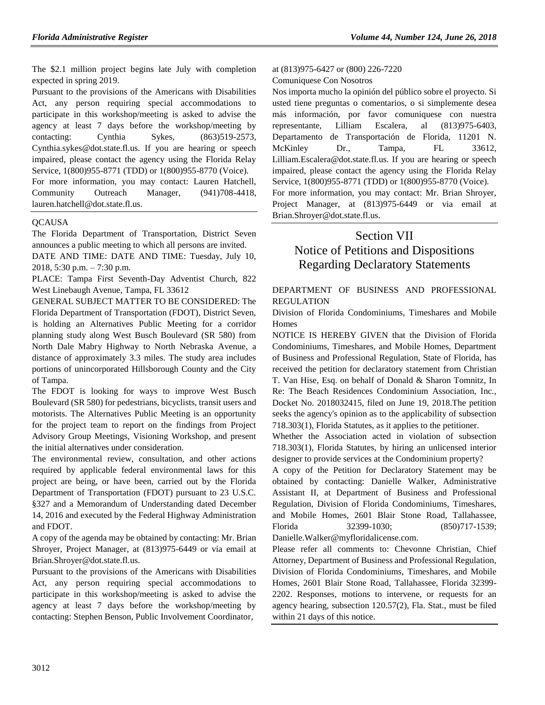The \$2.1 million project begins late July with completion expected in spring 2019.

Pursuant to the provisions of the Americans with Disabilities Act, any person requiring special accommodations to participate in this workshop/meeting is asked to advise the agency at least 7 days before the workshop/meeting by contacting: Cynthia Sykes, (863)519-2573, Cynthia.sykes@dot.state.fl.us. If you are hearing or speech impaired, please contact the agency using the Florida Relay Service, 1(800)955-8771 (TDD) or 1(800)955-8770 (Voice).

For more information, you may contact: Lauren Hatchell, Community Outreach Manager, (941)708-4418, lauren.hatchell@dot.state.fl.us.

## **OCAUSA**

The Florida Department of Transportation, District Seven announces a public meeting to which all persons are invited.

DATE AND TIME: DATE AND TIME: Tuesday, July 10, 2018, 5:30 p.m. – 7:30 p.m.

PLACE: Tampa First Seventh-Day Adventist Church, 822 West Linebaugh Avenue, Tampa, FL 33612

GENERAL SUBJECT MATTER TO BE CONSIDERED: The Florida Department of Transportation (FDOT), District Seven, is holding an Alternatives Public Meeting for a corridor planning study along West Busch Boulevard (SR 580) from North Dale Mabry Highway to North Nebraska Avenue, a distance of approximately 3.3 miles. The study area includes portions of unincorporated Hillsborough County and the City of Tampa.

The FDOT is looking for ways to improve West Busch Boulevard (SR 580) for pedestrians, bicyclists, transit users and motorists. The Alternatives Public Meeting is an opportunity for the project team to report on the findings from Project Advisory Group Meetings, Visioning Workshop, and present the initial alternatives under consideration.

The environmental review, consultation, and other actions required by applicable federal environmental laws for this project are being, or have been, carried out by the Florida Department of Transportation (FDOT) pursuant to 23 U.S.C. §327 and a Memorandum of Understanding dated December 14, 2016 and executed by the Federal Highway Administration and FDOT.

A copy of the agenda may be obtained by contacting: Mr. Brian Shroyer, Project Manager, at (813)975-6449 or via email at Brian.Shroyer@dot.state.fl.us.

Pursuant to the provisions of the Americans with Disabilities Act, any person requiring special accommodations to participate in this workshop/meeting is asked to advise the agency at least 7 days before the workshop/meeting by contacting: Stephen Benson, Public Involvement Coordinator,

at (813)975-6427 or (800) 226-7220 Comuniquese Con Nosotros

Nos importa mucho la opinión del público sobre el proyecto. Si usted tiene preguntas o comentarios, o si simplemente desea más información, por favor comuniquese con nuestra representante, Lilliam Escalera, al (813)975-6403, Departamento de Transportación de Florida, 11201 N. McKinley Dr., Tampa, FL 33612, Lilliam.Escalera@dot.state.fl.us. If you are hearing or speech impaired, please contact the agency using the Florida Relay Service, 1(800)955-8771 (TDD) or 1(800)955-8770 (Voice). For more information, you may contact: Mr. Brian Shroyer, Project Manager, at (813)975-6449 or via email at Brian.Shroyer@dot.state.fl.us.

# Section VII

# Notice of Petitions and Dispositions Regarding Declaratory Statements

[DEPARTMENT OF BUSINESS AND PROFESSIONAL](https://www.flrules.org/gateway/department.asp?id=61)  [REGULATION](https://www.flrules.org/gateway/department.asp?id=61)

[Division of Florida Condominiums, Timeshares and Mobile](https://www.flrules.org/gateway/organization.asp?id=248)  [Homes](https://www.flrules.org/gateway/organization.asp?id=248)

NOTICE IS HEREBY GIVEN that the Division of Florida Condominiums, Timeshares, and Mobile Homes, Department of Business and Professional Regulation, State of Florida, has received the petition for declaratory statement from Christian T. Van Hise, Esq. on behalf of Donald & Sharon Tomnitz, In Re: The Beach Residences Condominium Association, Inc., Docket No. 2018032415, filed on June 19, 2018.The petition seeks the agency's opinion as to the applicability of subsection 718.303(1), Florida Statutes, as it applies to the petitioner.

Whether the Association acted in violation of subsection 718.303(1), Florida Statutes, by hiring an unlicensed interior designer to provide services at the Condominium property?

A copy of the Petition for Declaratory Statement may be obtained by contacting: Danielle Walker, Administrative Assistant II, at Department of Business and Professional Regulation, Division of Florida Condominiums, Timeshares, and Mobile Homes, 2601 Blair Stone Road, Tallahassee, Florida 32399-1030; (850)717-1539;

Danielle.Walker@myfloridalicense.com.

Please refer all comments to: Chevonne Christian, Chief Attorney, Department of Business and Professional Regulation, Division of Florida Condominiums, Timeshares, and Mobile Homes, 2601 Blair Stone Road, Tallahassee, Florida 32399- 2202. Responses, motions to intervene, or requests for an agency hearing, subsection 120.57(2), Fla. Stat., must be filed within 21 days of this notice.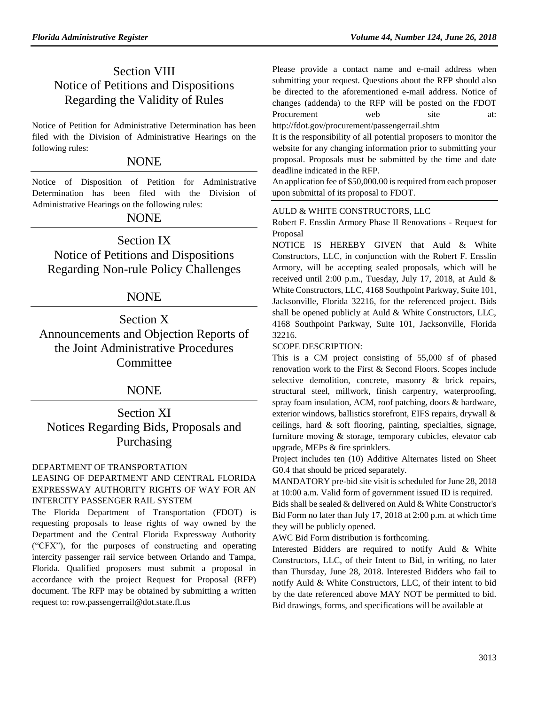# Section VIII Notice of Petitions and Dispositions Regarding the Validity of Rules

Notice of Petition for Administrative Determination has been filed with the Division of Administrative Hearings on the following rules:

# NONE

Notice of Disposition of Petition for Administrative Determination has been filed with the Division of Administrative Hearings on the following rules:

# NONE

Section IX Notice of Petitions and Dispositions Regarding Non-rule Policy Challenges

# NONE

Section X Announcements and Objection Reports of the Joint Administrative Procedures Committee

# NONE

Section XI Notices Regarding Bids, Proposals and Purchasing

# [DEPARTMENT OF TRANSPORTATION](https://www.flrules.org/gateway/department.asp?id=14)

# LEASING OF DEPARTMENT AND CENTRAL FLORIDA EXPRESSWAY AUTHORITY RIGHTS OF WAY FOR AN INTERCITY PASSENGER RAIL SYSTEM

The Florida Department of Transportation (FDOT) is requesting proposals to lease rights of way owned by the Department and the Central Florida Expressway Authority ("CFX"), for the purposes of constructing and operating intercity passenger rail service between Orlando and Tampa, Florida. Qualified proposers must submit a proposal in accordance with the project Request for Proposal (RFP) document. The RFP may be obtained by submitting a written request to: [row.passengerrail@dot.state.fl.us](mailto:row.passengerrail@dot.state.fl.us)

Please provide a contact name and e-mail address when submitting your request. Questions about the RFP should also be directed to the aforementioned e-mail address. Notice of changes (addenda) to the RFP will be posted on the FDOT Procurement web site at:

<http://fdot.gov/procurement/passengerrail.shtm>

It is the responsibility of all potential proposers to monitor the website for any changing information prior to submitting your proposal. Proposals must be submitted by the time and date deadline indicated in the RFP.

An application fee of \$50,000.00 is required from each proposer upon submittal of its proposal to FDOT.

#### AULD & WHITE CONSTRUCTORS, LLC

Robert F. Ensslin Armory Phase II Renovations - Request for Proposal

NOTICE IS HEREBY GIVEN that Auld & White Constructors, LLC, in conjunction with the Robert F. Ensslin Armory, will be accepting sealed proposals, which will be received until 2:00 p.m., Tuesday, July 17, 2018, at Auld & White Constructors, LLC, 4168 Southpoint Parkway, Suite 101, Jacksonville, Florida 32216, for the referenced project. Bids shall be opened publicly at Auld & White Constructors, LLC, 4168 Southpoint Parkway, Suite 101, Jacksonville, Florida 32216.

## SCOPE DESCRIPTION:

This is a CM project consisting of 55,000 sf of phased renovation work to the First & Second Floors. Scopes include selective demolition, concrete, masonry & brick repairs, structural steel, millwork, finish carpentry, waterproofing, spray foam insulation, ACM, roof patching, doors & hardware, exterior windows, ballistics storefront, EIFS repairs, drywall & ceilings, hard & soft flooring, painting, specialties, signage, furniture moving & storage, temporary cubicles, elevator cab upgrade, MEPs & fire sprinklers.

Project includes ten (10) Additive Alternates listed on Sheet G0.4 that should be priced separately.

MANDATORY pre-bid site visit is scheduled for June 28, 2018 at 10:00 a.m. Valid form of government issued ID is required.

Bids shall be sealed & delivered on Auld & White Constructor's Bid Form no later than July 17, 2018 at 2:00 p.m. at which time they will be publicly opened.

AWC Bid Form distribution is forthcoming.

Interested Bidders are required to notify Auld & White Constructors, LLC, of their Intent to Bid, in writing, no later than Thursday, June 28, 2018. Interested Bidders who fail to notify Auld & White Constructors, LLC, of their intent to bid by the date referenced above MAY NOT be permitted to bid. Bid drawings, forms, and specifications will be available at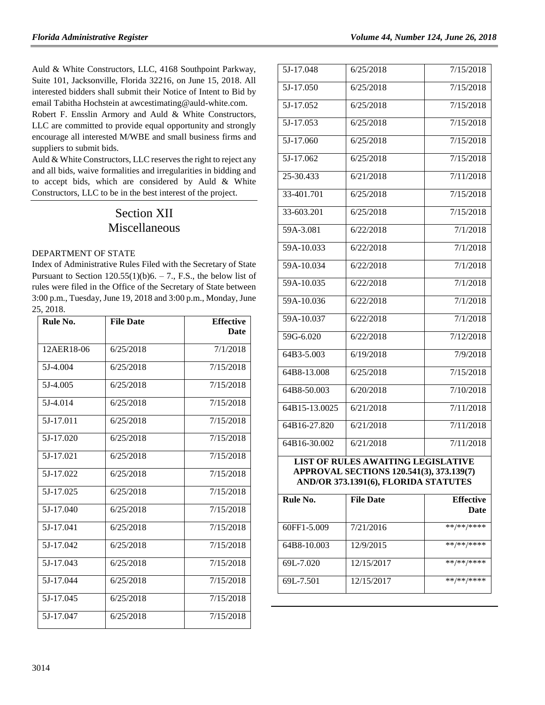Auld & White Constructors, LLC, 4168 Southpoint Parkway, Suite 101, Jacksonville, Florida 32216, on June 15, 2018. All interested bidders shall submit their Notice of Intent to Bid by email Tabitha Hochstein at awcestimating@auld-white.com.

Robert F. Ensslin Armory and Auld & White Constructors, LLC are committed to provide equal opportunity and strongly encourage all interested M/WBE and small business firms and suppliers to submit bids.

Auld & White Constructors, LLC reserves the right to reject any and all bids, waive formalities and irregularities in bidding and to accept bids, which are considered by Auld & White Constructors, LLC to be in the best interest of the project.

# Section XII Miscellaneous

#### [DEPARTMENT OF STATE](https://www.flrules.org/gateway/department.asp?id=1)

Index of Administrative Rules Filed with the Secretary of State Pursuant to Section  $120.55(1)(b)6. - 7$ ., F.S., the below list of rules were filed in the Office of the Secretary of State between 3:00 p.m., Tuesday, June 19, 2018 and 3:00 p.m., Monday, June 25, 2018.

| Rule No.   | <b>File Date</b> | <b>Effective</b> |
|------------|------------------|------------------|
|            |                  | Date             |
| 12AER18-06 | 6/25/2018        | 7/1/2018         |
| 5J-4.004   | 6/25/2018        | 7/15/2018        |
| 5J-4.005   | 6/25/2018        | 7/15/2018        |
| 5J-4.014   | 6/25/2018        | 7/15/2018        |
| 5J-17.011  | 6/25/2018        | 7/15/2018        |
| 5J-17.020  | 6/25/2018        | 7/15/2018        |
| 5J-17.021  | 6/25/2018        | 7/15/2018        |
| 5J-17.022  | 6/25/2018        | 7/15/2018        |
| 5J-17.025  | 6/25/2018        | 7/15/2018        |
| 5J-17.040  | 6/25/2018        | 7/15/2018        |
| 5J-17.041  | 6/25/2018        | 7/15/2018        |
| 5J-17.042  | 6/25/2018        | 7/15/2018        |
| 5J-17.043  | 6/25/2018        | 7/15/2018        |
| 5J-17.044  | 6/25/2018        | 7/15/2018        |
| 5J-17.045  | 6/25/2018        | 7/15/2018        |
| 5J-17.047  | 6/25/2018        | 7/15/2018        |

| $\overline{5J}$ -17.048                   | 6/25/2018 | 7/15/2018 |  |  |
|-------------------------------------------|-----------|-----------|--|--|
| 5J-17.050                                 | 6/25/2018 | 7/15/2018 |  |  |
| 5J-17.052                                 | 6/25/2018 | 7/15/2018 |  |  |
| 5J-17.053                                 | 6/25/2018 | 7/15/2018 |  |  |
| 5J-17.060                                 | 6/25/2018 | 7/15/2018 |  |  |
| 5J-17.062                                 | 6/25/2018 | 7/15/2018 |  |  |
| 25-30.433                                 | 6/21/2018 | 7/11/2018 |  |  |
| 33-401.701                                | 6/25/2018 | 7/15/2018 |  |  |
| 33-603.201                                | 6/25/2018 | 7/15/2018 |  |  |
| 59A-3.081                                 | 6/22/2018 | 7/1/2018  |  |  |
| 59A-10.033                                | 6/22/2018 | 7/1/2018  |  |  |
| 59A-10.034                                | 6/22/2018 | 7/1/2018  |  |  |
| 59A-10.035                                | 6/22/2018 | 7/1/2018  |  |  |
| 59A-10.036                                | 6/22/2018 | 7/1/2018  |  |  |
| 59A-10.037                                | 6/22/2018 | 7/1/2018  |  |  |
| 59G-6.020                                 | 6/22/2018 | 7/12/2018 |  |  |
| 64B3-5.003                                | 6/19/2018 | 7/9/2018  |  |  |
| 64B8-13.008                               | 6/25/2018 | 7/15/2018 |  |  |
| 64B8-50.003                               | 6/20/2018 | 7/10/2018 |  |  |
| 64B15-13.0025                             | 6/21/2018 | 7/11/2018 |  |  |
| 64B16-27.820                              | 6/21/2018 | 7/11/2018 |  |  |
| 64B16-30.002                              | 6/21/2018 | 7/11/2018 |  |  |
| <b>LIST OF RULES AWAITING LEGISLATIVE</b> |           |           |  |  |

**APPROVAL SECTIONS 120.541(3), 373.139(7) AND/OR 373.1391(6), FLORIDA STATUTES**

| Rule No.    | <b>File Date</b> | <b>Effective</b><br><b>Date</b> |
|-------------|------------------|---------------------------------|
| 60FF1-5.009 | 7/21/2016        | **/**/****                      |
| 64B8-10.003 | 12/9/2015        | **/**/****                      |
| 69L-7.020   | 12/15/2017       | **/**/****                      |
| 69L-7.501   | 12/15/2017       | **/**/****                      |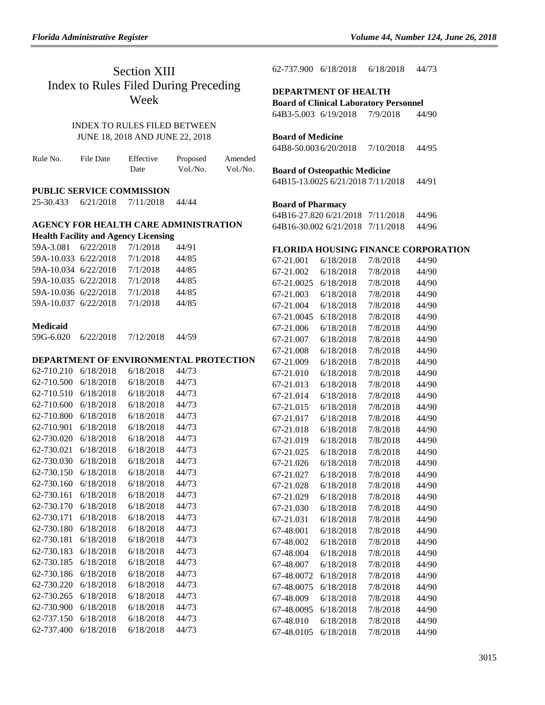# Section XIII Index to Rules Filed During Preceding Week

# INDEX TO RULES FILED BETWEEN JUNE 18, 2018 AND JUNE 22, 2018

| Rule No. | File Date | Effective | Proposed | Amended  |
|----------|-----------|-----------|----------|----------|
|          |           | Date      | Vol./No. | Vol./No. |

#### **PUBLIC SERVICE COMMISSION**

25-30.433 6/21/2018 7/11/2018 44/44

#### **AGENCY FOR HEALTH CARE ADMINISTRATION Health Facility and Agency Licensing**

|                      | <b>Health Facility and Agency Litensing</b> |       |
|----------------------|---------------------------------------------|-------|
| 59A-3.081 6/22/2018  | 7/1/2018                                    | 44/91 |
| 59A-10.033 6/22/2018 | 7/1/2018                                    | 44/85 |
| 59A-10.034 6/22/2018 | 7/1/2018                                    | 44/85 |
| 59A-10.035 6/22/2018 | 7/1/2018                                    | 44/85 |
| 59A-10.036 6/22/2018 | 7/1/2018                                    | 44/85 |
| 59A-10.037 6/22/2018 | 7/1/2018                                    | 44/85 |

#### **Medicaid**

| 59G-6.020 | 6/22/2018 | 7/12/2018 | 44/59 |
|-----------|-----------|-----------|-------|
|           |           |           |       |

#### **DEPARTMENT OF ENVIRONMENTAL PROTECTION**

| 62-710.210 | 6/18/2018 | 6/18/2018 | 44/73 |  |
|------------|-----------|-----------|-------|--|
| 62-710.500 | 6/18/2018 | 6/18/2018 | 44/73 |  |
| 62-710.510 | 6/18/2018 | 6/18/2018 | 44/73 |  |
| 62-710.600 | 6/18/2018 | 6/18/2018 | 44/73 |  |
| 62-710.800 | 6/18/2018 | 6/18/2018 | 44/73 |  |
| 62-710.901 | 6/18/2018 | 6/18/2018 | 44/73 |  |
| 62-730.020 | 6/18/2018 | 6/18/2018 | 44/73 |  |
| 62-730.021 | 6/18/2018 | 6/18/2018 | 44/73 |  |
| 62-730.030 | 6/18/2018 | 6/18/2018 | 44/73 |  |
| 62-730.150 | 6/18/2018 | 6/18/2018 | 44/73 |  |
| 62-730.160 | 6/18/2018 | 6/18/2018 | 44/73 |  |
| 62-730.161 | 6/18/2018 | 6/18/2018 | 44/73 |  |
| 62-730.170 | 6/18/2018 | 6/18/2018 | 44/73 |  |
| 62-730.171 | 6/18/2018 | 6/18/2018 | 44/73 |  |
| 62-730.180 | 6/18/2018 | 6/18/2018 | 44/73 |  |
| 62-730.181 | 6/18/2018 | 6/18/2018 | 44/73 |  |
| 62-730.183 | 6/18/2018 | 6/18/2018 | 44/73 |  |
| 62-730.185 | 6/18/2018 | 6/18/2018 | 44/73 |  |
| 62-730.186 | 6/18/2018 | 6/18/2018 | 44/73 |  |
| 62-730.220 | 6/18/2018 | 6/18/2018 | 44/73 |  |
| 62-730.265 | 6/18/2018 | 6/18/2018 | 44/73 |  |
| 62-730.900 | 6/18/2018 | 6/18/2018 | 44/73 |  |
| 62-737.150 | 6/18/2018 | 6/18/2018 | 44/73 |  |
| 62-737.400 | 6/18/2018 | 6/18/2018 | 44/73 |  |

62-737.900 6/18/2018 6/18/2018 44/73

## **DEPARTMENT OF HEALTH**

**Board of Clinical Laboratory Personnel**

64B3-5.003 6/19/2018 7/9/2018 44/90

### **Board of Medicine**

64B8-50.003 6/20/2018 7/10/2018 44/95

#### **Board of Osteopathic Medicine**

64B15-13.0025 6/21/2018 7/11/2018 44/91

#### **Board of Pharmacy**

64B16-27.820 6/21/2018 7/11/2018 44/96 64B16-30.002 6/21/2018 7/11/2018 44/96

## **FLORIDA HOUSING FINANCE CORPORATION**

| 67-21.001  | 6/18/2018 | 7/8/2018 | 44/90 |
|------------|-----------|----------|-------|
| 67-21.002  | 6/18/2018 | 7/8/2018 | 44/90 |
| 67-21.0025 | 6/18/2018 | 7/8/2018 | 44/90 |
| 67-21.003  | 6/18/2018 | 7/8/2018 | 44/90 |
| 67-21.004  | 6/18/2018 | 7/8/2018 | 44/90 |
| 67-21.0045 | 6/18/2018 | 7/8/2018 | 44/90 |
| 67-21.006  | 6/18/2018 | 7/8/2018 | 44/90 |
| 67-21.007  | 6/18/2018 | 7/8/2018 | 44/90 |
| 67-21.008  | 6/18/2018 | 7/8/2018 | 44/90 |
| 67-21.009  | 6/18/2018 | 7/8/2018 | 44/90 |
| 67-21.010  | 6/18/2018 | 7/8/2018 | 44/90 |
| 67-21.013  | 6/18/2018 | 7/8/2018 | 44/90 |
| 67-21.014  | 6/18/2018 | 7/8/2018 | 44/90 |
| 67-21.015  | 6/18/2018 | 7/8/2018 | 44/90 |
| 67-21.017  | 6/18/2018 | 7/8/2018 | 44/90 |
| 67-21.018  | 6/18/2018 | 7/8/2018 | 44/90 |
| 67-21.019  | 6/18/2018 | 7/8/2018 | 44/90 |
| 67-21.025  | 6/18/2018 | 7/8/2018 | 44/90 |
| 67-21.026  | 6/18/2018 | 7/8/2018 | 44/90 |
| 67-21.027  | 6/18/2018 | 7/8/2018 | 44/90 |
| 67-21.028  | 6/18/2018 | 7/8/2018 | 44/90 |
| 67-21.029  | 6/18/2018 | 7/8/2018 | 44/90 |
| 67-21.030  | 6/18/2018 | 7/8/2018 | 44/90 |
| 67-21.031  | 6/18/2018 | 7/8/2018 | 44/90 |
| 67-48.001  | 6/18/2018 | 7/8/2018 | 44/90 |
| 67-48.002  | 6/18/2018 | 7/8/2018 | 44/90 |
| 67-48.004  | 6/18/2018 | 7/8/2018 | 44/90 |
| 67-48.007  | 6/18/2018 | 7/8/2018 | 44/90 |
| 67-48.0072 | 6/18/2018 | 7/8/2018 | 44/90 |
| 67-48.0075 | 6/18/2018 | 7/8/2018 | 44/90 |
| 67-48.009  | 6/18/2018 | 7/8/2018 | 44/90 |
| 67-48.0095 | 6/18/2018 | 7/8/2018 | 44/90 |
| 67-48.010  | 6/18/2018 | 7/8/2018 | 44/90 |
| 67-48.0105 | 6/18/2018 | 7/8/2018 | 44/90 |